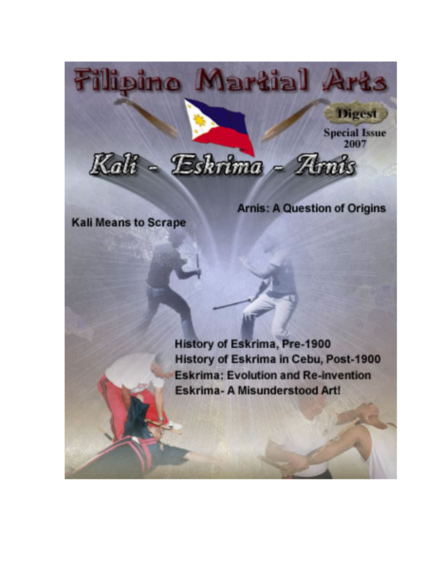

**Arnis: A Question of Origins** 

**Kali Means to Scrape** 

**History of Eskrima, Pre-1900** History of Eskrima in Cebu, Post-1900 **Eskrima: Evolution and Re-invention** Eskrima- A Misunderstood Art!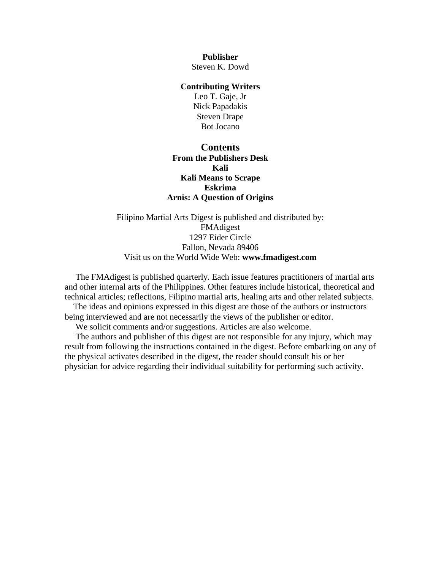**Publisher**  Steven K. Dowd

#### **Contributing Writers**

Leo T. Gaje, Jr Nick Papadakis Steven Drape Bot Jocano

### **Contents [From the Publishers Desk](#page-2-0)  [Kali](#page-3-0)  [Kali Means to Scrape](#page-6-0)  [Eskrima](#page-11-0)  [Arnis: A Question of Origins](#page-32-0)**

Filipino Martial Arts Digest is published and distributed by: FMAdigest 1297 Eider Circle Fallon, Nevada 89406 Visit us on the World Wide Web: **[www.fmadigest.com](http://www.fmadigest.com/)**

 The FMAdigest is published quarterly. Each issue features practitioners of martial arts and other internal arts of the Philippines. Other features include historical, theoretical and technical articles; reflections, Filipino martial arts, healing arts and other related subjects.

 The ideas and opinions expressed in this digest are those of the authors or instructors being interviewed and are not necessarily the views of the publisher or editor.

We solicit comments and/or suggestions. Articles are also welcome.

 The authors and publisher of this digest are not responsible for any injury, which may result from following the instructions contained in the digest. Before embarking on any of the physical activates described in the digest, the reader should consult his or her physician for advice regarding their individual suitability for performing such activity.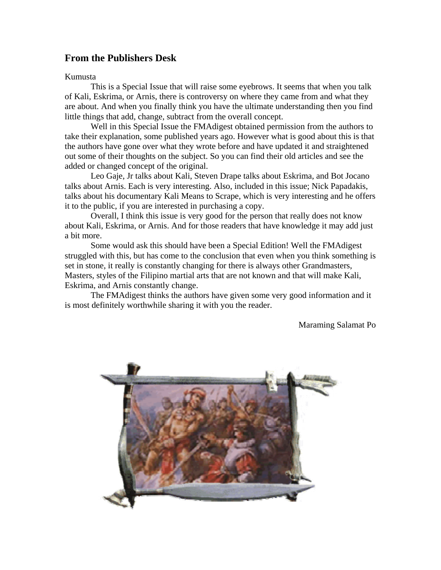# <span id="page-2-0"></span>**From the Publishers Desk**

#### Kumusta

This is a Special Issue that will raise some eyebrows. It seems that when you talk of Kali, Eskrima, or Arnis, there is controversy on where they came from and what they are about. And when you finally think you have the ultimate understanding then you find little things that add, change, subtract from the overall concept.

Well in this Special Issue the FMAdigest obtained permission from the authors to take their explanation, some published years ago. However what is good about this is that the authors have gone over what they wrote before and have updated it and straightened out some of their thoughts on the subject. So you can find their old articles and see the added or changed concept of the original.

Leo Gaje, Jr talks about Kali, Steven Drape talks about Eskrima, and Bot Jocano talks about Arnis. Each is very interesting. Also, included in this issue; Nick Papadakis, talks about his documentary Kali Means to Scrape, which is very interesting and he offers it to the public, if you are interested in purchasing a copy.

Overall, I think this issue is very good for the person that really does not know about Kali, Eskrima, or Arnis. And for those readers that have knowledge it may add just a bit more.

Some would ask this should have been a Special Edition! Well the FMAdigest struggled with this, but has come to the conclusion that even when you think something is set in stone, it really is constantly changing for there is always other Grandmasters, Masters, styles of the Filipino martial arts that are not known and that will make Kali, Eskrima, and Arnis constantly change.

The FMAdigest thinks the authors have given some very good information and it is most definitely worthwhile sharing it with you the reader.

Maraming Salamat Po

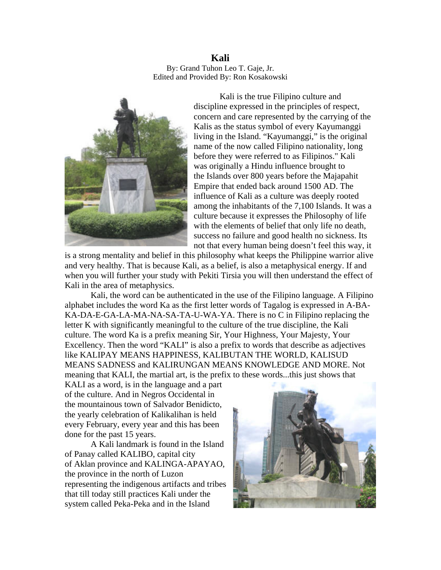<span id="page-3-0"></span>**Kali**  By: Grand Tuhon Leo T. Gaje, Jr. Edited and Provided By: Ron Kosakowski



Kali is the true Filipino culture and discipline expressed in the principles of respect, concern and care represented by the carrying of the Kalis as the status symbol of every Kayumanggi living in the Island. "Kayumanggi," is the original name of the now called Filipino nationality, long before they were referred to as Filipinos." Kali was originally a Hindu influence brought to the Islands over 800 years before the Majapahit Empire that ended back around 1500 AD. The influence of Kali as a culture was deeply rooted among the inhabitants of the 7,100 Islands. It was a culture because it expresses the Philosophy of life with the elements of belief that only life no death, success no failure and good health no sickness. Its not that every human being doesn't feel this way, it

is a strong mentality and belief in this philosophy what keeps the Philippine warrior alive and very healthy. That is because Kali, as a belief, is also a metaphysical energy. If and when you will further your study with Pekiti Tirsia you will then understand the effect of Kali in the area of metaphysics.

Kali, the word can be authenticated in the use of the Filipino language. A Filipino alphabet includes the word Ka as the first letter words of Tagalog is expressed in A-BA-KA-DA-E-GA-LA-MA-NA-SA-TA-U-WA-YA. There is no C in Filipino replacing the letter K with significantly meaningful to the culture of the true discipline, the Kali culture. The word Ka is a prefix meaning Sir, Your Highness, Your Majesty, Your Excellency. Then the word "KALI" is also a prefix to words that describe as adjectives like KALIPAY MEANS HAPPINESS, KALIBUTAN THE WORLD, KALISUD MEANS SADNESS and KALIRUNGAN MEANS KNOWLEDGE AND MORE. Not meaning that KALI, the martial art, is the prefix to these words...this just shows that

KALI as a word, is in the language and a part of the culture. And in Negros Occidental in the mountainous town of Salvador Benidicto, the yearly celebration of Kalikalihan is held every February, every year and this has been done for the past 15 years.

representing the indigenous artifacts and tribes A Kali landmark is found in the Island of Panay called KALIBO, capital city of Aklan province and KALINGA-APAYAO, the province in the north of Luzon that till today still practices Kali under the system called Peka-Peka and in the Island

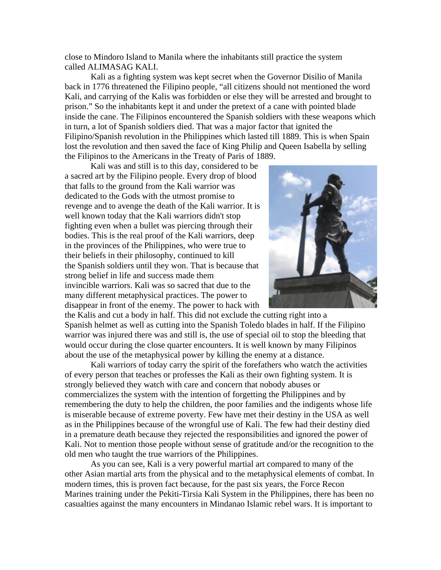close to Mindoro Island to Manila where the inhabitants still practice the system called ALIMASAG KALI.

Kali as a fighting system was kept secret when the Governor Disilio of Manila back in 1776 threatened the Filipino people, "all citizens should not mentioned the word Kali, and carrying of the Kalis was forbidden or else they will be arrested and brought to prison." So the inhabitants kept it and under the pretext of a cane with pointed blade inside the cane. The Filipinos encountered the Spanish soldiers with these weapons which in turn, a lot of Spanish soldiers died. That was a major factor that ignited the Filipino/Spanish revolution in the Philippines which lasted till 1889. This is when Spain lost the revolution and then saved the face of King Philip and Queen Isabella by selling the Filipinos to the Americans in the Treaty of Paris of 1889.

Kali was and still is to this day, considered to be a sacred art by the Filipino people. Every drop of blood that falls to the ground from the Kali warrior was dedicated to the Gods with the utmost promise to revenge and to avenge the death of the Kali warrior. It is well known today that the Kali warriors didn't stop fighting even when a bullet was piercing through their bodies. This is the real proof of the Kali warriors, deep in the provinces of the Philippines, who were true to their beliefs in their philosophy, continued to kill the Spanish soldiers until they won. That is because that strong belief in life and success made them invincible warriors. Kali was so sacred that due to the many different metaphysical practices. The power to disappear in front of the enemy. The power to hack with



the Kalis and cut a body in half. This did not exclude the cutting right into a Spanish helmet as well as cutting into the Spanish Toledo blades in half. If the Filipino warrior was injured there was and still is, the use of special oil to stop the bleeding that would occur during the close quarter encounters. It is well known by many Filipinos about the use of the metaphysical power by killing the enemy at a distance.

Kali warriors of today carry the spirit of the forefathers who watch the activities of every person that teaches or professes the Kali as their own fighting system. It is strongly believed they watch with care and concern that nobody abuses or commercializes the system with the intention of forgetting the Philippines and by remembering the duty to help the children, the poor families and the indigents whose life is miserable because of extreme poverty. Few have met their destiny in the USA as well as in the Philippines because of the wrongful use of Kali. The few had their destiny died in a premature death because they rejected the responsibilities and ignored the power of Kali. Not to mention those people without sense of gratitude and/or the recognition to the old men who taught the true warriors of the Philippines.

As you can see, Kali is a very powerful martial art compared to many of the other Asian martial arts from the physical and to the metaphysical elements of combat. In modern times, this is proven fact because, for the past six years, the Force Recon Marines training under the Pekiti-Tirsia Kali System in the Philippines, there has been no casualties against the many encounters in Mindanao Islamic rebel wars. It is important to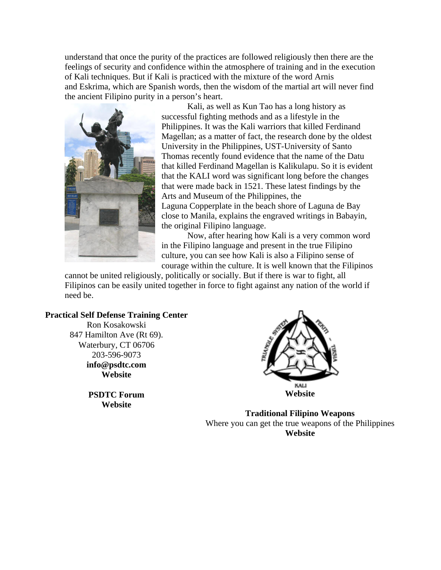understand that once the purity of the practices are followed religiously then there are the feelings of security and confidence within the atmosphere of training and in the execution of Kali techniques. But if Kali is practiced with the mixture of the word Arnis and Eskrima, which are Spanish words, then the wisdom of the martial art will never find the ancient Filipino purity in a person's heart.



Kali, as well as Kun Tao has a long history as successful fighting methods and as a lifestyle in the Philippines. It was the Kali warriors that killed Ferdinand Magellan; as a matter of fact, the research done by the oldest University in the Philippines, UST-University of Santo Thomas recently found evidence that the name of the Datu that killed Ferdinand Magellan is Kalikulapu. So it is evident that the KALI word was significant long before the changes that were made back in 1521. These latest findings by the Arts and Museum of the Philippines, the [Laguna Copperplate](http://www.bibingka.com/dahon/lci/lci.htm) in the beach shore of Laguna de Bay

close to Manila, explains the engraved writings in Babayin, the original Filipino language.

Now, after hearing how Kali is a very common word in the Filipino language and present in the true Filipino culture, you can see how Kali is also a Filipino sense of courage within the culture. It is well known that the Filipinos

cannot be united religiously, politically or socially. But if there is war to fight, all Filipinos can be easily united together in force to fight against any nation of the world if need be.

#### **Practical Self Defense Training Center**

Ron Kosakowski 847 Hamilton Ave (Rt 69). Waterbury, CT 06706 203-596-9073 **[info@psdtc.com](mailto:info@psdtc.com)  [Website](http://www.psdtc.com/)** 

> **PSDTC Forum [Website](http://forum.psdtc.com/)**



**Traditional Filipino Weapons**  Where you can get the true weapons of the Philippines **[Website](http://www.traditionalfilipinoweapons.com/)**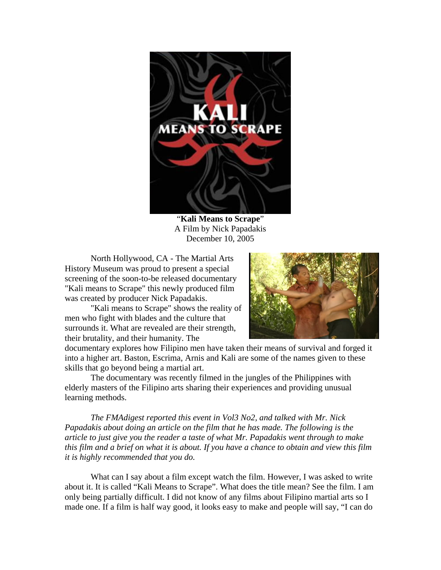<span id="page-6-0"></span>

"**Kali Means to Scrape**" A Film by Nick Papadakis December 10, 2005

North Hollywood, CA - The Martial Arts History Museum was proud to present a special screening of the soon-to-be released documentary "Kali means to Scrape" this newly produced film was created by producer Nick Papadakis.

"Kali means to Scrape" shows the reality of men who fight with blades and the culture that surrounds it. What are revealed are their strength, their brutality, and their humanity. The



documentary explores how Filipino men have taken their means of survival and forged it into a higher art. Baston, Escrima, Arnis and Kali are some of the names given to these skills that go beyond being a martial art.

The documentary was recently filmed in the jungles of the Philippines with elderly masters of the Filipino arts sharing their experiences and providing unusual learning methods.

*The FMAdigest reported this event in Vol3 No2, and talked with Mr. Nick Papadakis about doing an article on the film that he has made. The following is the article to just give you the reader a taste of what Mr. Papadakis went through to make this film and a brief on what it is about. If you have a chance to obtain and view this film it is highly recommended that you do.* 

What can I say about a film except watch the film. However, I was asked to write about it. It is called "Kali Means to Scrape". What does the title mean? See the film. I am only being partially difficult. I did not know of any films about Filipino martial arts so I made one. If a film is half way good, it looks easy to make and people will say, "I can do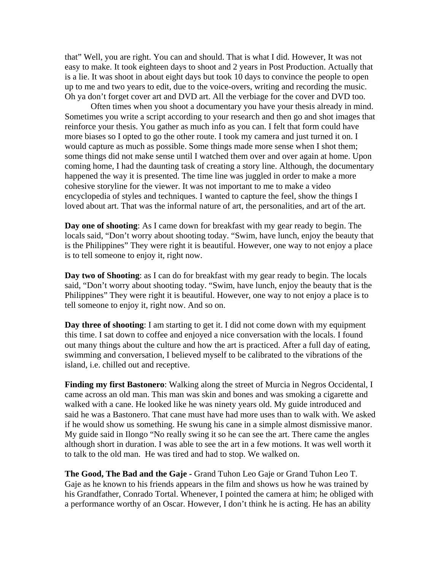that" Well, you are right. You can and should. That is what I did. However, It was not easy to make. It took eighteen days to shoot and 2 years in Post Production. Actually that is a lie. It was shoot in about eight days but took 10 days to convince the people to open up to me and two years to edit, due to the voice-overs, writing and recording the music. Oh ya don't forget cover art and DVD art. All the verbiage for the cover and DVD too.

Often times when you shoot a documentary you have your thesis already in mind. Sometimes you write a script according to your research and then go and shot images that reinforce your thesis. You gather as much info as you can. I felt that form could have more biases so I opted to go the other route. I took my camera and just turned it on. I would capture as much as possible. Some things made more sense when I shot them; some things did not make sense until I watched them over and over again at home. Upon coming home, I had the daunting task of creating a story line. Although, the documentary happened the way it is presented. The time line was juggled in order to make a more cohesive storyline for the viewer. It was not important to me to make a video encyclopedia of styles and techniques. I wanted to capture the feel, show the things I loved about art. That was the informal nature of art, the personalities, and art of the art.

**Day one of shooting**: As I came down for breakfast with my gear ready to begin. The locals said, "Don't worry about shooting today. "Swim, have lunch, enjoy the beauty that is the Philippines" They were right it is beautiful. However, one way to not enjoy a place is to tell someone to enjoy it, right now.

**Day two of Shooting**: as I can do for breakfast with my gear ready to begin. The locals said, "Don't worry about shooting today. "Swim, have lunch, enjoy the beauty that is the Philippines" They were right it is beautiful. However, one way to not enjoy a place is to tell someone to enjoy it, right now. And so on.

**Day three of shooting**: I am starting to get it. I did not come down with my equipment this time. I sat down to coffee and enjoyed a nice conversation with the locals. I found out many things about the culture and how the art is practiced. After a full day of eating, swimming and conversation, I believed myself to be calibrated to the vibrations of the island, i.e. chilled out and receptive.

**Finding my first Bastonero**: Walking along the street of Murcia in Negros Occidental, I came across an old man. This man was skin and bones and was smoking a cigarette and walked with a cane. He looked like he was ninety years old. My guide introduced and said he was a Bastonero. That cane must have had more uses than to walk with. We asked if he would show us something. He swung his cane in a simple almost dismissive manor. My guide said in Ilongo "No really swing it so he can see the art. There came the angles although short in duration. I was able to see the art in a few motions. It was well worth it to talk to the old man. He was tired and had to stop. We walked on.

**The Good, The Bad and the Gaje -** Grand Tuhon Leo Gaje or Grand Tuhon Leo T. Gaje as he known to his friends appears in the film and shows us how he was trained by his Grandfather, Conrado Tortal. Whenever, I pointed the camera at him; he obliged with a performance worthy of an Oscar. However, I don't think he is acting. He has an ability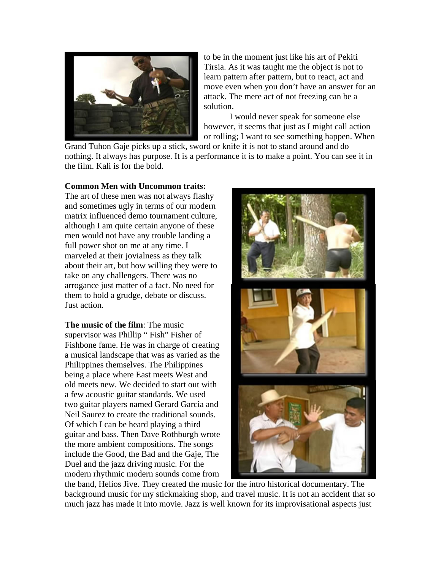

to be in the moment just like his art of Pekiti Tirsia. As it was taught me the object is not to learn pattern after pattern, but to react, act and move even when you don't have an answer for a n attack. The mere act of not freezing can be a solution.

I would never speak for someone else however, it seems that just as I might call action or rolling; I want to see something happen. When

Grand Tuhon Gaje picks up a stick, sword or knife it is not to stand around and do nothing. It always has purpose. It is a performance it is to make a point. You can see it in the film. Kali is for the bold.

#### **Common Men with Uncommon traits:**

The art of these men was not always flashy and sometimes ugly in terms of our modern matrix influenced demo tournament culture, although I am quite certain anyone of these men would not have any trouble landing a full power shot on me at any time. I marveled at their jovialness as they talk about their art, but how willing they were to take on any challengers. There was no arrogance just matter of a fact. No need for them to hold a grudge, debate or discuss. Just action.

**The music of the film**: The music supervisor was Phillip " Fish" Fisher of Fishbone fame. He was in charge of creating a musical landscape that was as varied as the Philippines themselves. The Philippines being a place where East meets West and old meets new. We decided to start out with a few acoustic guitar standards. We used two guitar players named Gerard Garcia and Neil Saurez to create the traditional sounds. Of which I can be heard playing a third guitar and bass. Then Dave Rothburgh wrote the more ambient compositions. The songs include the Good, the Bad and the Gaje, The Duel and the jazz driving music. For the modern rhythmic modern sounds come from



the band, Helios Jive. They created the music for the intro historical documentary. The background music for my stickmaking shop, and travel music. It is not an accident that so much jazz has made it into movie. Jazz is well known for its improvisational aspects just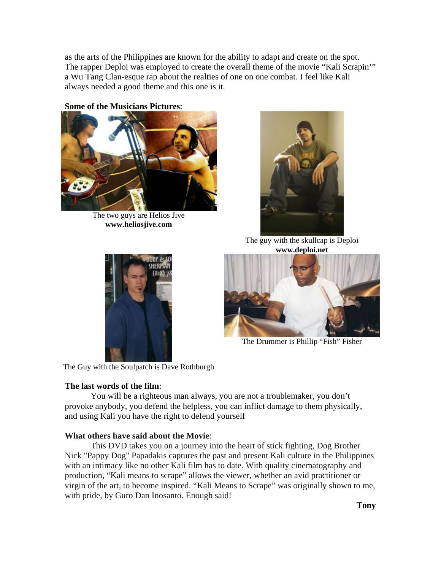as the arts of the Philippines are known for the ability to adapt and create on the spot. The rapper Deploi was employed to create the overall theme of the movie "Kali Scrapin" a Wu Tang Clan-esque rap about the realties of one on one combat. I feel like Kali always needed a good theme and this one is it.

**Some of the Musicians Pictures**:



The two guys are Helios Jive **[www.heliosjive.com](http://www.heliosjive.com/)**



The guy with the skullcap is Deploi **[www.deploi.net](http://profile.myspace.com/index.cfm?fuseaction=user.viewprofile&friendid=3845455)**





The Drummer is Phillip "Fish" Fisher

The Guy with the Soulpatch is Dave Rothburgh

## **The last words of the film**:

You will be a righteous man always, you are not a troublemaker, you don't provoke anybody, you defend the helpless, you can inflict damage to them physically, and using Kali you have the right to defend yourself

## **What others have said about the Movie**:

This DVD takes you on a journey into the heart of stick fighting, Dog Brother Nick "Pappy Dog" Papadakis captures the past and present Kali culture in the Philippines with an intimacy like no other Kali film has to date. With quality cinematography and production, "Kali means to scrape" allows the viewer, whether an avid practitioner or virgin of the art, to become inspired. "Kali Means to Scrape" was originally shown to me, with pride, by Guro Dan Inosanto. Enough said!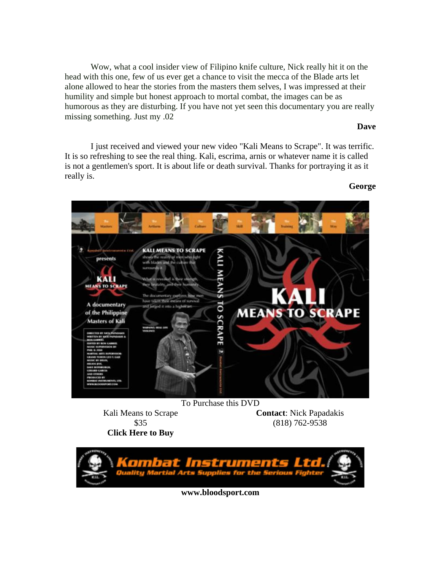Wow, what a cool insider view of Filipino knife culture, Nick really hit it on the head with this one, few of us ever get a chance to visit the mecca of the Blade arts let alone allowed to hear the stories from the masters them selves, I was impressed at their humility and simple but honest approach to mortal combat, the images can be as humorous as they are disturbing. If you have not yet seen this documentary you are really missing something. Just my .02

#### **Dave**

I just received and viewed your new video "Kali Means to Scrape". It was terrific. It is so refreshing to see the real thing. Kali, escrima, arnis or whatever name it is called is not a gentlemen's sport. It is about life or death survival. Thanks for portraying it as it really is.





Kali Means to Scrape \$35

**Contact**: Nick Papadakis (818) 762-9538

**[Click Here to Buy](http://bloodsport.com/product_info.php?cPath=6&products_id=77)**



**[www.bloodsport.com](http://www.bloodsport.com/)**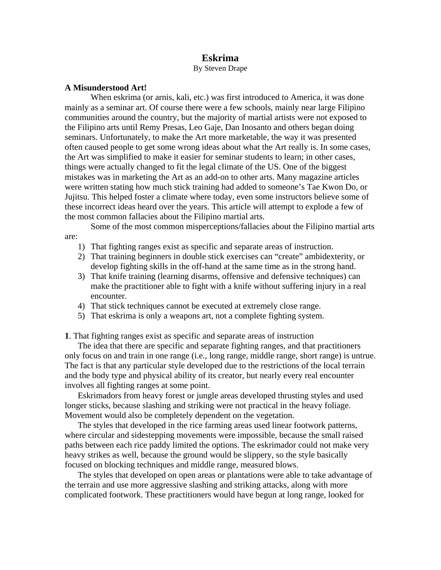## **Eskrima**

By Steven Drape

#### <span id="page-11-0"></span>**A Misunderstood Art!**

 When eskrima (or arnis, kali, etc.) was first introduced to America, it was done mainly as a seminar art. Of course there were a few schools, mainly near large Filipino communities around the country, but the majority of martial artists were not exposed to the Filipino arts until Remy Presas, Leo Gaje, Dan Inosanto and others began doing seminars. Unfortunately, to make the Art more marketable, the way it was presented often caused people to get some wrong ideas about what the Art really is. In some cases, the Art was simplified to make it easier for seminar students to learn; in other cases, things were actually changed to fit the legal climate of the US. One of the biggest mistakes was in marketing the Art as an add-on to other arts. Many magazine articles were written stating how much stick training had added to someone's Tae Kwon Do, or Jujitsu. This helped foster a climate where today, even some instructors believe some of these incorrect ideas heard over the years. This article will attempt to explode a few of the most common fallacies about the Filipino martial arts.

 Some of the most common misperceptions/fallacies about the Filipino martial arts are:

- 1) That fighting ranges exist as specific and separate areas of instruction.
- 2) That training beginners in double stick exercises can "create" ambidexterity, or develop fighting skills in the off-hand at the same time as in the strong hand.
- 3) That knife training (learning disarms, offensive and defensive techniques) can make the practitioner able to fight with a knife without suffering injury in a real encounter.
- 4) That stick techniques cannot be executed at extremely close range.
- 5) That eskrima is only a weapons art, not a complete fighting system.

**1**. That fighting ranges exist as specific and separate areas of instruction

The idea that there are specific and separate fighting ranges, and that practitioners only focus on and train in one range (i.e., long range, middle range, short range) is untrue. The fact is that any particular style developed due to the restrictions of the local terrain and the body type and physical ability of its creator, but nearly every real encounter involves all fighting ranges at some point.

Eskrimadors from heavy forest or jungle areas developed thrusting styles and used longer sticks, because slashing and striking were not practical in the heavy foliage. Movement would also be completely dependent on the vegetation.

The styles that developed in the rice farming areas used linear footwork patterns, where circular and sidestepping movements were impossible, because the small raised paths between each rice paddy limited the options. The eskrimador could not make very heavy strikes as well, because the ground would be slippery, so the style basically focused on blocking techniques and middle range, measured blows.

The styles that developed on open areas or plantations were able to take advantage of the terrain and use more aggressive slashing and striking attacks, along with more complicated footwork. These practitioners would have begun at long range, looked for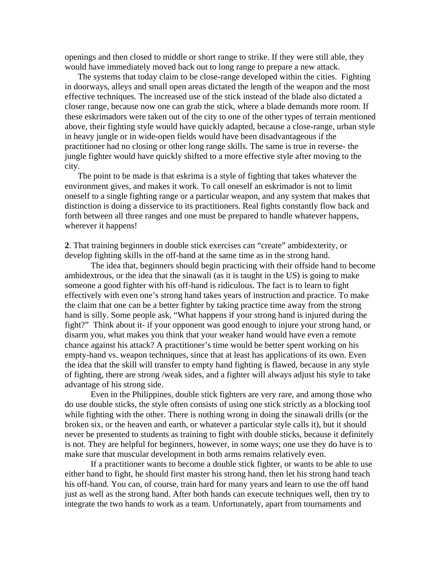openings and then closed to middle or short range to strike. If they were still able, they would have immediately moved back out to long range to prepare a new attack.

The systems that today claim to be close-range developed within the cities. Fighting in doorways, alleys and small open areas dictated the length of the weapon and the most effective techniques. The increased use of the stick instead of the blade also dictated a closer range, because now one can grab the stick, where a blade demands more room. If these eskrimadors were taken out of the city to one of the other types of terrain mentioned above, their fighting style would have quickly adapted, because a close-range, urban style in heavy jungle or in wide-open fields would have been disadvantageous if the practitioner had no closing or other long range skills. The same is true in reverse- the jungle fighter would have quickly shifted to a more effective style after moving to the city.

The point to be made is that eskrima is a style of fighting that takes whatever the environment gives, and makes it work. To call oneself an eskrimador is not to limit oneself to a single fighting range or a particular weapon, and any system that makes that distinction is doing a disservice to its practitioners. Real fights constantly flow back and forth between all three ranges and one must be prepared to handle whatever happens, wherever it happens!

**2**. That training beginners in double stick exercises can "create" ambidexterity, or develop fighting skills in the off-hand at the same time as in the strong hand.

The idea that, beginners should begin practicing with their offside hand to become ambidextrous, or the idea that the sinawali (as it is taught in the US) is going to make someone a good fighter with his off-hand is ridiculous. The fact is to learn to fight effectively with even one's strong hand takes years of instruction and practice. To make the claim that one can be a better fighter by taking practice time away from the strong hand is silly. Some people ask, "What happens if your strong hand is injured during the fight?" Think about it- if your opponent was good enough to injure your strong hand, or disarm you, what makes you think that your weaker hand would have even a remote chance against his attack? A practitioner's time would be better spent working on his empty-hand vs. weapon techniques, since that at least has applications of its own. Even the idea that the skill will transfer to empty hand fighting is flawed, because in any style of fighting, there are strong /weak sides, and a fighter will always adjust his style to take advantage of his strong side.

Even in the Philippines, double stick fighters are very rare, and among those who do use double sticks, the style often consists of using one stick strictly as a blocking tool while fighting with the other. There is nothing wrong in doing the sinawali drills (or the broken six, or the heaven and earth, or whatever a particular style calls it), but it should never be presented to students as training to fight with double sticks, because it definitely is not. They are helpful for beginners, however, in some ways; one use they do have is to make sure that muscular development in both arms remains relatively even.

If a practitioner wants to become a double stick fighter, or wants to be able to use either hand to fight, he should first master his strong hand, then let his strong hand teach his off-hand. You can, of course, train hard for many years and learn to use the off hand just as well as the strong hand. After both hands can execute techniques well, then try to integrate the two hands to work as a team. Unfortunately, apart from tournaments and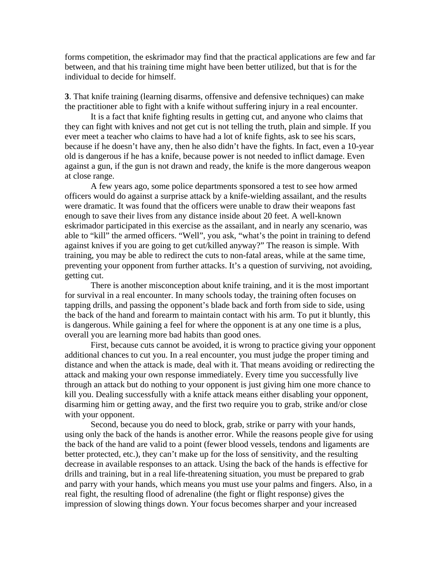forms competition, the eskrimador may find that the practical applications are few and far between, and that his training time might have been better utilized, but that is for the individual to decide for himself.

**3**. That knife training (learning disarms, offensive and defensive techniques) can make the practitioner able to fight with a knife without suffering injury in a real encounter.

It is a fact that knife fighting results in getting cut, and anyone who claims that they can fight with knives and not get cut is not telling the truth, plain and simple. If you ever meet a teacher who claims to have had a lot of knife fights, ask to see his scars, because if he doesn't have any, then he also didn't have the fights. In fact, even a 10-year old is dangerous if he has a knife, because power is not needed to inflict damage. Even against a gun, if the gun is not drawn and ready, the knife is the more dangerous weapon at close range.

A few years ago, some police departments sponsored a test to see how armed officers would do against a surprise attack by a knife-wielding assailant, and the results were dramatic. It was found that the officers were unable to draw their weapons fast enough to save their lives from any distance inside about 20 feet. A well-known eskrimador participated in this exercise as the assailant, and in nearly any scenario, was able to "kill" the armed officers. "Well", you ask, "what's the point in training to defend against knives if you are going to get cut/killed anyway?" The reason is simple. With training, you may be able to redirect the cuts to non-fatal areas, while at the same time, preventing your opponent from further attacks. It's a question of surviving, not avoiding, getting cut.

There is another misconception about knife training, and it is the most important for survival in a real encounter. In many schools today, the training often focuses on tapping drills, and passing the opponent's blade back and forth from side to side, using the back of the hand and forearm to maintain contact with his arm. To put it bluntly, this is dangerous. While gaining a feel for where the opponent is at any one time is a plus, overall you are learning more bad habits than good ones.

First, because cuts cannot be avoided, it is wrong to practice giving your opponent additional chances to cut you. In a real encounter, you must judge the proper timing and distance and when the attack is made, deal with it. That means avoiding or redirecting the attack and making your own response immediately. Every time you successfully live through an attack but do nothing to your opponent is just giving him one more chance to kill you. Dealing successfully with a knife attack means either disabling your opponent, disarming him or getting away, and the first two require you to grab, strike and/or close with your opponent.

Second, because you do need to block, grab, strike or parry with your hands, using only the back of the hands is another error. While the reasons people give for using the back of the hand are valid to a point (fewer blood vessels, tendons and ligaments are better protected, etc.), they can't make up for the loss of sensitivity, and the resulting decrease in available responses to an attack. Using the back of the hands is effective for drills and training, but in a real life-threatening situation, you must be prepared to grab and parry with your hands, which means you must use your palms and fingers. Also, in a real fight, the resulting flood of adrenaline (the fight or flight response) gives the impression of slowing things down. Your focus becomes sharper and your increased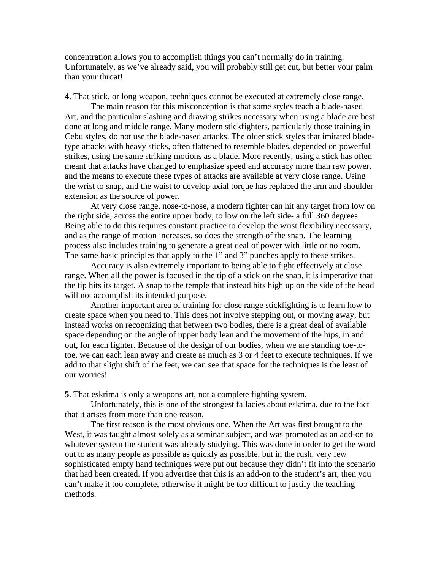concentration allows you to accomplish things you can't normally do in training. Unfortunately, as we've already said, you will probably still get cut, but better your palm than your throat!

**4**. That stick, or long weapon, techniques cannot be executed at extremely close range.

The main reason for this misconception is that some styles teach a blade-based Art, and the particular slashing and drawing strikes necessary when using a blade are best done at long and middle range. Many modern stickfighters, particularly those training in Cebu styles, do not use the blade-based attacks. The older stick styles that imitated bladetype attacks with heavy sticks, often flattened to resemble blades, depended on powerful strikes, using the same striking motions as a blade. More recently, using a stick has often meant that attacks have changed to emphasize speed and accuracy more than raw power, and the means to execute these types of attacks are available at very close range. Using the wrist to snap, and the waist to develop axial torque has replaced the arm and shoulder extension as the source of power.

At very close range, nose-to-nose, a modern fighter can hit any target from low on the right side, across the entire upper body, to low on the left side- a full 360 degrees. Being able to do this requires constant practice to develop the wrist flexibility necessary, and as the range of motion increases, so does the strength of the snap. The learning process also includes training to generate a great deal of power with little or no room. The same basic principles that apply to the 1" and 3" punches apply to these strikes.

Accuracy is also extremely important to being able to fight effectively at close range. When all the power is focused in the tip of a stick on the snap, it is imperative that the tip hits its target. A snap to the temple that instead hits high up on the side of the head will not accomplish its intended purpose.

Another important area of training for close range stickfighting is to learn how to create space when you need to. This does not involve stepping out, or moving away, but instead works on recognizing that between two bodies, there is a great deal of available space depending on the angle of upper body lean and the movement of the hips, in and out, for each fighter. Because of the design of our bodies, when we are standing toe-totoe, we can each lean away and create as much as 3 or 4 feet to execute techniques. If we add to that slight shift of the feet, we can see that space for the techniques is the least of our worries!

**5**. That eskrima is only a weapons art, not a complete fighting system.

Unfortunately, this is one of the strongest fallacies about eskrima, due to the fact that it arises from more than one reason.

The first reason is the most obvious one. When the Art was first brought to the West, it was taught almost solely as a seminar subject, and was promoted as an add-on to whatever system the student was already studying. This was done in order to get the word out to as many people as possible as quickly as possible, but in the rush, very few sophisticated empty hand techniques were put out because they didn't fit into the scenario that had been created. If you advertise that this is an add-on to the student's art, then you can't make it too complete, otherwise it might be too difficult to justify the teaching methods.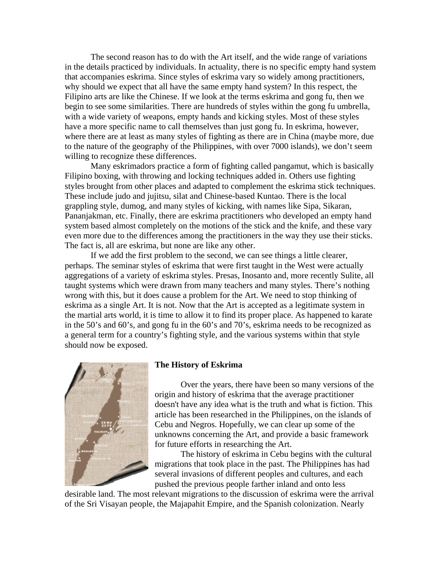The second reason has to do with the Art itself, and the wide range of variations in the details practiced by individuals. In actuality, there is no specific empty hand system that accompanies eskrima. Since styles of eskrima vary so widely among practitioners, why should we expect that all have the same empty hand system? In this respect, the Filipino arts are like the Chinese. If we look at the terms eskrima and gong fu, then we begin to see some similarities. There are hundreds of styles within the gong fu umbrella, with a wide variety of weapons, empty hands and kicking styles. Most of these styles have a more specific name to call themselves than just gong fu. In eskrima, however, where there are at least as many styles of fighting as there are in China (maybe more, due to the nature of the geography of the Philippines, with over 7000 islands), we don't seem willing to recognize these differences.

Many eskrimadors practice a form of fighting called pangamut, which is basically Filipino boxing, with throwing and locking techniques added in. Others use fighting styles brought from other places and adapted to complement the eskrima stick techniques. These include judo and jujitsu, silat and Chinese-based Kuntao. There is the local grappling style, dumog, and many styles of kicking, with names like Sipa, Sikaran, Pananjakman, etc. Finally, there are eskrima practitioners who developed an empty hand system based almost completely on the motions of the stick and the knife, and these vary even more due to the differences among the practitioners in the way they use their sticks. The fact is, all are eskrima, but none are like any other.

If we add the first problem to the second, we can see things a little clearer, perhaps. The seminar styles of eskrima that were first taught in the West were actually aggregations of a variety of eskrima styles. Presas, Inosanto and, more recently Sulite, all taught systems which were drawn from many teachers and many styles. There's nothing wrong with this, but it does cause a problem for the Art. We need to stop thinking of eskrima as a single Art. It is not. Now that the Art is accepted as a legitimate system in the martial arts world, it is time to allow it to find its proper place. As happened to karate in the 50's and 60's, and gong fu in the 60's and 70's, eskrima needs to be recognized as a general term for a country's fighting style, and the various systems within that style should now be exposed.



#### **The History of Eskrima**

Over the years, there have been so many versions of the origin and history of eskrima that the average practitioner doesn't have any idea what is the truth and what is fiction. This article has been researched in the Philippines, on the islands of Cebu and Negros. Hopefully, we can clear up some of the unknowns concerning the Art, and provide a basic framework for future efforts in researching the Art.

The history of eskrima in Cebu begins with the cultural migrations that took place in the past. The Philippines has had several invasions of different peoples and cultures, and each pushed the previous people farther inland and onto less

desirable land. The most relevant migrations to the discussion of eskrima were the arrival of the Sri Visayan people, the Majapahit Empire, and the Spanish colonization. Nearly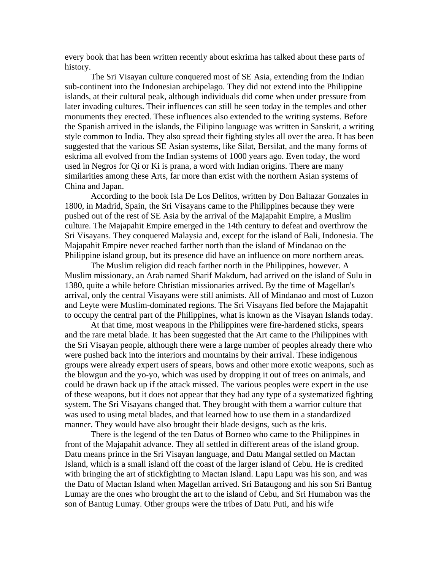every book that has been written recently about eskrima has talked about these parts of history.

The Sri Visayan culture conquered most of SE Asia, extending from the Indian sub-continent into the Indonesian archipelago. They did not extend into the Philippine islands, at their cultural peak, although individuals did come when under pressure from later invading cultures. Their influences can still be seen today in the temples and other monuments they erected. These influences also extended to the writing systems. Before the Spanish arrived in the islands, the Filipino language was written in Sanskrit, a writing style common to India. They also spread their fighting styles all over the area. It has been suggested that the various SE Asian systems, like Silat, Bersilat, and the many forms of eskrima all evolved from the Indian systems of 1000 years ago. Even today, the word used in Negros for Qi or Ki is prana, a word with Indian origins. There are many similarities among these Arts, far more than exist with the northern Asian systems of China and Japan.

According to the book Isla De Los Delitos, written by Don Baltazar Gonzales in 1800, in Madrid, Spain, the Sri Visayans came to the Philippines because they were pushed out of the rest of SE Asia by the arrival of the Majapahit Empire, a Muslim culture. The Majapahit Empire emerged in the 14th century to defeat and overthrow the Sri Visayans. They conquered Malaysia and, except for the island of Bali, Indonesia. The Majapahit Empire never reached farther north than the island of Mindanao on the Philippine island group, but its presence did have an influence on more northern areas.

The Muslim religion did reach farther north in the Philippines, however. A Muslim missionary, an Arab named Sharif Makdum, had arrived on the island of Sulu in 1380, quite a while before Christian missionaries arrived. By the time of Magellan's arrival, only the central Visayans were still animists. All of Mindanao and most of Luzon and Leyte were Muslim-dominated regions. The Sri Visayans fled before the Majapahit to occupy the central part of the Philippines, what is known as the Visayan Islands today.

At that time, most weapons in the Philippines were fire-hardened sticks, spears and the rare metal blade. It has been suggested that the Art came to the Philippines with the Sri Visayan people, although there were a large number of peoples already there who were pushed back into the interiors and mountains by their arrival. These indigenous groups were already expert users of spears, bows and other more exotic weapons, such as the blowgun and the yo-yo, which was used by dropping it out of trees on animals, and could be drawn back up if the attack missed. The various peoples were expert in the use of these weapons, but it does not appear that they had any type of a systematized fighting system. The Sri Visayans changed that. They brought with them a warrior culture that was used to using metal blades, and that learned how to use them in a standardized manner. They would have also brought their blade designs, such as the kris.

There is the legend of the ten Datus of Borneo who came to the Philippines in front of the Majapahit advance. They all settled in different areas of the island group. Datu means prince in the Sri Visayan language, and Datu Mangal settled on Mactan Island, which is a small island off the coast of the larger island of Cebu. He is credited with bringing the art of stickfighting to Mactan Island. Lapu Lapu was his son, and was the Datu of Mactan Island when Magellan arrived. Sri Bataugong and his son Sri Bantug Lumay are the ones who brought the art to the island of Cebu, and Sri Humabon was the son of Bantug Lumay. Other groups were the tribes of Datu Puti, and his wife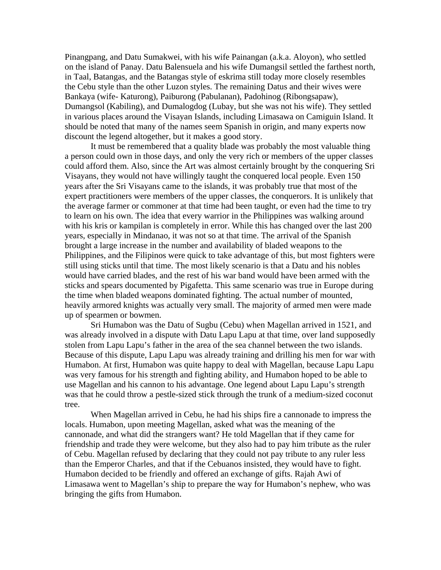Pinangpang, and Datu Sumakwei, with his wife Painangan (a.k.a. Aloyon), who settled on the island of Panay. Datu Balensuela and his wife Dumangsil settled the farthest north, in Taal, Batangas, and the Batangas style of eskrima still today more closely resembles the Cebu style than the other Luzon styles. The remaining Datus and their wives were Bankaya (wife- Katurong), Paiburong (Pabulanan), Padohinog (Ribongsapaw), Dumangsol (Kabiling), and Dumalogdog (Lubay, but she was not his wife). They settled in various places around the Visayan Islands, including Limasawa on Camiguin Island. It should be noted that many of the names seem Spanish in origin, and many experts now discount the legend altogether, but it makes a good story.

It must be remembered that a quality blade was probably the most valuable thing a person could own in those days, and only the very rich or members of the upper classes could afford them. Also, since the Art was almost certainly brought by the conquering Sri Visayans, they would not have willingly taught the conquered local people. Even 150 years after the Sri Visayans came to the islands, it was probably true that most of the expert practitioners were members of the upper classes, the conquerors. It is unlikely that the average farmer or commoner at that time had been taught, or even had the time to try to learn on his own. The idea that every warrior in the Philippines was walking around with his kris or kampilan is completely in error. While this has changed over the last 200 years, especially in Mindanao, it was not so at that time. The arrival of the Spanish brought a large increase in the number and availability of bladed weapons to the Philippines, and the Filipinos were quick to take advantage of this, but most fighters were still using sticks until that time. The most likely scenario is that a Datu and his nobles would have carried blades, and the rest of his war band would have been armed with the sticks and spears documented by Pigafetta. This same scenario was true in Europe during the time when bladed weapons dominated fighting. The actual number of mounted, heavily armored knights was actually very small. The majority of armed men were made up of spearmen or bowmen.

Sri Humabon was the Datu of Sugbu (Cebu) when Magellan arrived in 1521, and was already involved in a dispute with Datu Lapu Lapu at that time, over land supposedly stolen from Lapu Lapu's father in the area of the sea channel between the two islands. Because of this dispute, Lapu Lapu was already training and drilling his men for war with Humabon. At first, Humabon was quite happy to deal with Magellan, because Lapu Lapu was very famous for his strength and fighting ability, and Humabon hoped to be able to use Magellan and his cannon to his advantage. One legend about Lapu Lapu's strength was that he could throw a pestle-sized stick through the trunk of a medium-sized coconut tree.

When Magellan arrived in Cebu, he had his ships fire a cannonade to impress the locals. Humabon, upon meeting Magellan, asked what was the meaning of the cannonade, and what did the strangers want? He told Magellan that if they came for friendship and trade they were welcome, but they also had to pay him tribute as the ruler of Cebu. Magellan refused by declaring that they could not pay tribute to any ruler less than the Emperor Charles, and that if the Cebuanos insisted, they would have to fight. Humabon decided to be friendly and offered an exchange of gifts. Rajah Awi of Limasawa went to Magellan's ship to prepare the way for Humabon's nephew, who was bringing the gifts from Humabon.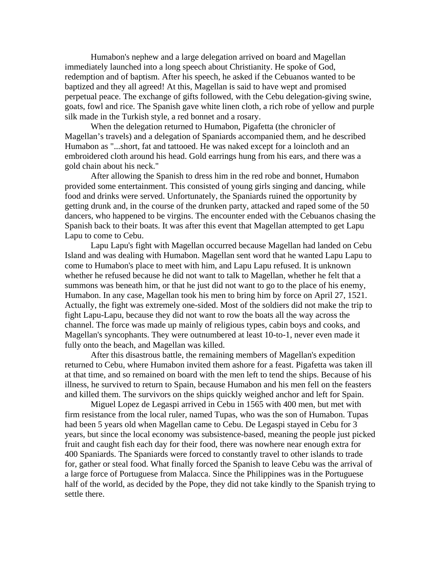Humabon's nephew and a large delegation arrived on board and Magellan immediately launched into a long speech about Christianity. He spoke of God, redemption and of baptism. After his speech, he asked if the Cebuanos wanted to be baptized and they all agreed! At this, Magellan is said to have wept and promised perpetual peace. The exchange of gifts followed, with the Cebu delegation-giving swine, goats, fowl and rice. The Spanish gave white linen cloth, a rich robe of yellow and purple silk made in the Turkish style, a red bonnet and a rosary.

When the delegation returned to Humabon, Pigafetta (the chronicler of Magellan's travels) and a delegation of Spaniards accompanied them, and he described Humabon as "...short, fat and tattooed. He was naked except for a loincloth and an embroidered cloth around his head. Gold earrings hung from his ears, and there was a gold chain about his neck."

After allowing the Spanish to dress him in the red robe and bonnet, Humabon provided some entertainment. This consisted of young girls singing and dancing, while food and drinks were served. Unfortunately, the Spaniards ruined the opportunity by getting drunk and, in the course of the drunken party, attacked and raped some of the 50 dancers, who happened to be virgins. The encounter ended with the Cebuanos chasing the Spanish back to their boats. It was after this event that Magellan attempted to get Lapu Lapu to come to Cebu.

Lapu Lapu's fight with Magellan occurred because Magellan had landed on Cebu Island and was dealing with Humabon. Magellan sent word that he wanted Lapu Lapu to come to Humabon's place to meet with him, and Lapu Lapu refused. It is unknown whether he refused because he did not want to talk to Magellan, whether he felt that a summons was beneath him, or that he just did not want to go to the place of his enemy, Humabon. In any case, Magellan took his men to bring him by force on April 27, 1521. Actually, the fight was extremely one-sided. Most of the soldiers did not make the trip to fight Lapu-Lapu, because they did not want to row the boats all the way across the channel. The force was made up mainly of religious types, cabin boys and cooks, and Magellan's syncophants. They were outnumbered at least 10-to-1, never even made it fully onto the beach, and Magellan was killed.

After this disastrous battle, the remaining members of Magellan's expedition returned to Cebu, where Humabon invited them ashore for a feast. Pigafetta was taken ill at that time, and so remained on board with the men left to tend the ships. Because of his illness, he survived to return to Spain, because Humabon and his men fell on the feasters and killed them. The survivors on the ships quickly weighed anchor and left for Spain.

Miguel Lopez de Legaspi arrived in Cebu in 1565 with 400 men, but met with firm resistance from the local ruler, named Tupas, who was the son of Humabon. Tupas had been 5 years old when Magellan came to Cebu. De Legaspi stayed in Cebu for 3 years, but since the local economy was subsistence-based, meaning the people just picked fruit and caught fish each day for their food, there was nowhere near enough extra for 400 Spaniards. The Spaniards were forced to constantly travel to other islands to trade for, gather or steal food. What finally forced the Spanish to leave Cebu was the arrival of a large force of Portuguese from Malacca. Since the Philippines was in the Portuguese half of the world, as decided by the Pope, they did not take kindly to the Spanish trying to settle there.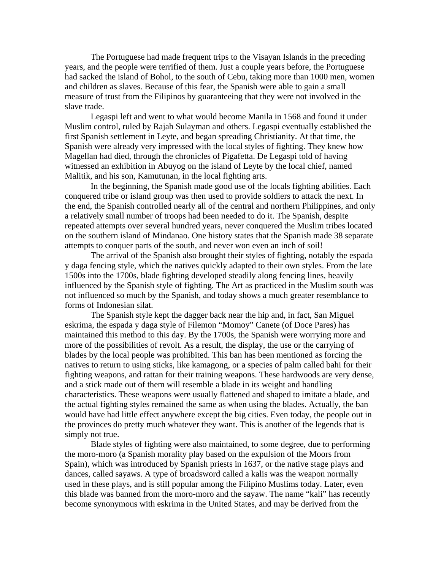The Portuguese had made frequent trips to the Visayan Islands in the preceding years, and the people were terrified of them. Just a couple years before, the Portuguese had sacked the island of Bohol, to the south of Cebu, taking more than 1000 men, women and children as slaves. Because of this fear, the Spanish were able to gain a small measure of trust from the Filipinos by guaranteeing that they were not involved in the slave trade.

Legaspi left and went to what would become Manila in 1568 and found it under Muslim control, ruled by Rajah Sulayman and others. Legaspi eventually established the first Spanish settlement in Leyte, and began spreading Christianity. At that time, the Spanish were already very impressed with the local styles of fighting. They knew how Magellan had died, through the chronicles of Pigafetta. De Legaspi told of having witnessed an exhibition in Abuyog on the island of Leyte by the local chief, named Malitik, and his son, Kamutunan, in the local fighting arts.

In the beginning, the Spanish made good use of the locals fighting abilities. Each conquered tribe or island group was then used to provide soldiers to attack the next. In the end, the Spanish controlled nearly all of the central and northern Philippines, and only a relatively small number of troops had been needed to do it. The Spanish, despite repeated attempts over several hundred years, never conquered the Muslim tribes located on the southern island of Mindanao. One history states that the Spanish made 38 separate attempts to conquer parts of the south, and never won even an inch of soil!

The arrival of the Spanish also brought their styles of fighting, notably the espada y daga fencing style, which the natives quickly adapted to their own styles. From the late 1500s into the 1700s, blade fighting developed steadily along fencing lines, heavily influenced by the Spanish style of fighting. The Art as practiced in the Muslim south was not influenced so much by the Spanish, and today shows a much greater resemblance to forms of Indonesian silat.

The Spanish style kept the dagger back near the hip and, in fact, San Miguel eskrima, the espada y daga style of Filemon "Momoy" Canete (of Doce Pares) has maintained this method to this day. By the 1700s, the Spanish were worrying more and more of the possibilities of revolt. As a result, the display, the use or the carrying of blades by the local people was prohibited. This ban has been mentioned as forcing the natives to return to using sticks, like kamagong, or a species of palm called bahi for their fighting weapons, and rattan for their training weapons. These hardwoods are very dense, and a stick made out of them will resemble a blade in its weight and handling characteristics. These weapons were usually flattened and shaped to imitate a blade, and the actual fighting styles remained the same as when using the blades. Actually, the ban would have had little effect anywhere except the big cities. Even today, the people out in the provinces do pretty much whatever they want. This is another of the legends that is simply not true.

Blade styles of fighting were also maintained, to some degree, due to performing the moro-moro (a Spanish morality play based on the expulsion of the Moors from Spain), which was introduced by Spanish priests in 1637, or the native stage plays and dances, called sayaws. A type of broadsword called a kalis was the weapon normally used in these plays, and is still popular among the Filipino Muslims today. Later, even this blade was banned from the moro-moro and the sayaw. The name "kali" has recently become synonymous with eskrima in the United States, and may be derived from the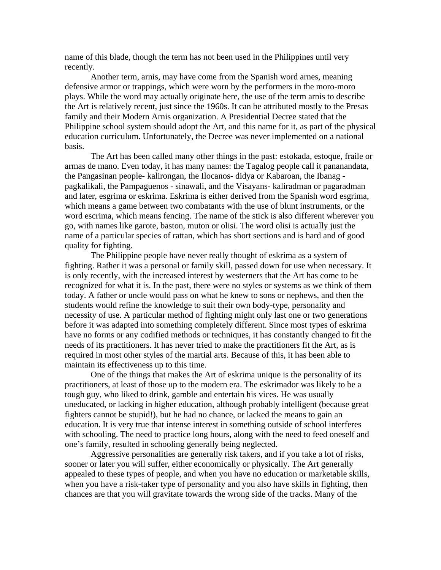name of this blade, though the term has not been used in the Philippines until very recently.

Another term, arnis, may have come from the Spanish word arnes, meaning defensive armor or trappings, which were worn by the performers in the moro-moro plays. While the word may actually originate here, the use of the term arnis to describe the Art is relatively recent, just since the 1960s. It can be attributed mostly to the Presas family and their Modern Arnis organization. A Presidential Decree stated that the Philippine school system should adopt the Art, and this name for it, as part of the physical education curriculum. Unfortunately, the Decree was never implemented on a national basis.

The Art has been called many other things in the past: estokada, estoque, fraile or armas de mano. Even today, it has many names: the Tagalog people call it pananandata, the Pangasinan people- kalirongan, the Ilocanos- didya or Kabaroan, the Ibanag pagkalikali, the Pampaguenos - sinawali, and the Visayans- kaliradman or pagaradman and later, esgrima or eskrima. Eskrima is either derived from the Spanish word esgrima, which means a game between two combatants with the use of blunt instruments, or the word escrima, which means fencing. The name of the stick is also different wherever you go, with names like garote, baston, muton or olisi. The word olisi is actually just the name of a particular species of rattan, which has short sections and is hard and of good quality for fighting.

The Philippine people have never really thought of eskrima as a system of fighting. Rather it was a personal or family skill, passed down for use when necessary. It is only recently, with the increased interest by westerners that the Art has come to be recognized for what it is. In the past, there were no styles or systems as we think of them today. A father or uncle would pass on what he knew to sons or nephews, and then the students would refine the knowledge to suit their own body-type, personality and necessity of use. A particular method of fighting might only last one or two generations before it was adapted into something completely different. Since most types of eskrima have no forms or any codified methods or techniques, it has constantly changed to fit the needs of its practitioners. It has never tried to make the practitioners fit the Art, as is required in most other styles of the martial arts. Because of this, it has been able to maintain its effectiveness up to this time.

One of the things that makes the Art of eskrima unique is the personality of its practitioners, at least of those up to the modern era. The eskrimador was likely to be a tough guy, who liked to drink, gamble and entertain his vices. He was usually uneducated, or lacking in higher education, although probably intelligent (because great fighters cannot be stupid!), but he had no chance, or lacked the means to gain an education. It is very true that intense interest in something outside of school interferes with schooling. The need to practice long hours, along with the need to feed oneself and one's family, resulted in schooling generally being neglected.

Aggressive personalities are generally risk takers, and if you take a lot of risks, sooner or later you will suffer, either economically or physically. The Art generally appealed to these types of people, and when you have no education or marketable skills, when you have a risk-taker type of personality and you also have skills in fighting, then chances are that you will gravitate towards the wrong side of the tracks. Many of the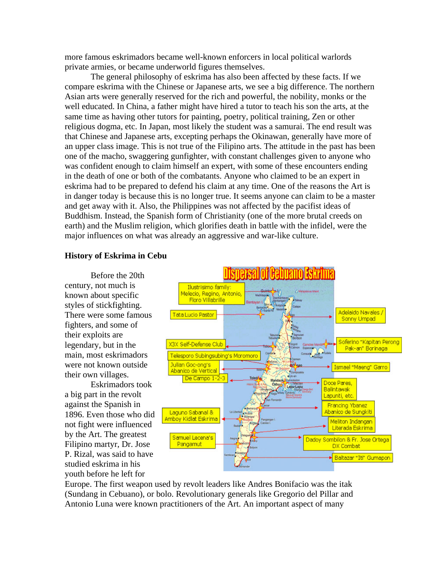more famous eskrimadors became well-known enforcers in local political warlords private armies, or became underworld figures themselves.

The general philosophy of eskrima has also been affected by these facts. If we compare eskrima with the Chinese or Japanese arts, we see a big difference. The northern Asian arts were generally reserved for the rich and powerful, the nobility, monks or the well educated. In China, a father might have hired a tutor to teach his son the arts, at the same time as having other tutors for painting, poetry, political training, Zen or other religious dogma, etc. In Japan, most likely the student was a samurai. The end result was that Chinese and Japanese arts, excepting perhaps the Okinawan, generally have more of an upper class image. This is not true of the Filipino arts. The attitude in the past has been one of the macho, swaggering gunfighter, with constant challenges given to anyone who was confident enough to claim himself an expert, with some of these encounters ending in the death of one or both of the combatants. Anyone who claimed to be an expert in eskrima had to be prepared to defend his claim at any time. One of the reasons the Art is in danger today is because this is no longer true. It seems anyone can claim to be a master and get away with it. Also, the Philippines was not affected by the pacifist ideas of Buddhism. Instead, the Spanish form of Christianity (one of the more brutal creeds on earth) and the Muslim religion, which glorifies death in battle with the infidel, were the major influences on what was already an aggressive and war-like culture.

#### **History of Eskrima in Cebu**

Before the 20th century, not much is known about specific styles of stickfighting. There were some famous fighters, and some of their exploits are legendary, but in the main, most eskrimadors were not known outside their own villages.

Eskrimadors took a big part in the revolt against the Spanish in 1896. Even those who did not fight were influenced by the Art. The greatest Filipino martyr, Dr. Jose P. Rizal, was said to have studied eskrima in his youth before he left for



Europe. The first weapon used by revolt leaders like Andres Bonifacio was the itak (Sundang in Cebuano), or bolo. Revolutionary generals like Gregorio del Pillar and Antonio Luna were known practitioners of the Art. An important aspect of many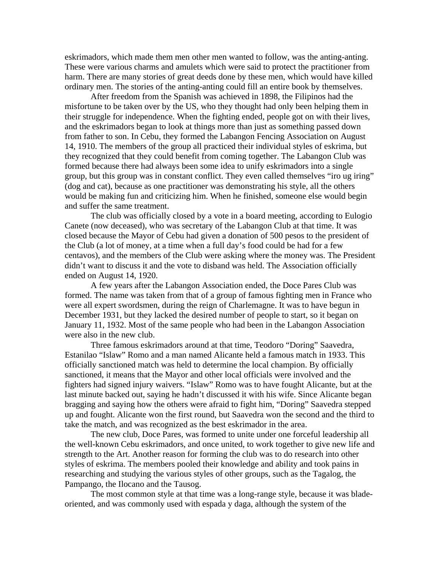eskrimadors, which made them men other men wanted to follow, was the anting-anting. These were various charms and amulets which were said to protect the practitioner from harm. There are many stories of great deeds done by these men, which would have killed ordinary men. The stories of the anting-anting could fill an entire book by themselves.

After freedom from the Spanish was achieved in 1898, the Filipinos had the misfortune to be taken over by the US, who they thought had only been helping them in their struggle for independence. When the fighting ended, people got on with their lives, and the eskrimadors began to look at things more than just as something passed down from father to son. In Cebu, they formed the Labangon Fencing Association on August 14, 1910. The members of the group all practiced their individual styles of eskrima, but they recognized that they could benefit from coming together. The Labangon Club was formed because there had always been some idea to unify eskrimadors into a single group, but this group was in constant conflict. They even called themselves "iro ug iring" (dog and cat), because as one practitioner was demonstrating his style, all the others would be making fun and criticizing him. When he finished, someone else would begin and suffer the same treatment.

The club was officially closed by a vote in a board meeting, according to Eulogio Canete (now deceased), who was secretary of the Labangon Club at that time. It was closed because the Mayor of Cebu had given a donation of 500 pesos to the president of the Club (a lot of money, at a time when a full day's food could be had for a few centavos), and the members of the Club were asking where the money was. The President didn't want to discuss it and the vote to disband was held. The Association officially ended on August 14, 1920.

A few years after the Labangon Association ended, the Doce Pares Club was formed. The name was taken from that of a group of famous fighting men in France who were all expert swordsmen, during the reign of Charlemagne. It was to have begun in December 1931, but they lacked the desired number of people to start, so it began on January 11, 1932. Most of the same people who had been in the Labangon Association were also in the new club.

Three famous eskrimadors around at that time, Teodoro "Doring" Saavedra, Estanilao "Islaw" Romo and a man named Alicante held a famous match in 1933. This officially sanctioned match was held to determine the local champion. By officially sanctioned, it means that the Mayor and other local officials were involved and the fighters had signed injury waivers. "Islaw" Romo was to have fought Alicante, but at the last minute backed out, saying he hadn't discussed it with his wife. Since Alicante began bragging and saying how the others were afraid to fight him, "Doring" Saavedra stepped up and fought. Alicante won the first round, but Saavedra won the second and the third to take the match, and was recognized as the best eskrimador in the area.

The new club, Doce Pares, was formed to unite under one forceful leadership all the well-known Cebu eskrimadors, and once united, to work together to give new life and strength to the Art. Another reason for forming the club was to do research into other styles of eskrima. The members pooled their knowledge and ability and took pains in researching and studying the various styles of other groups, such as the Tagalog, the Pampango, the Ilocano and the Tausog.

The most common style at that time was a long-range style, because it was bladeoriented, and was commonly used with espada y daga, although the system of the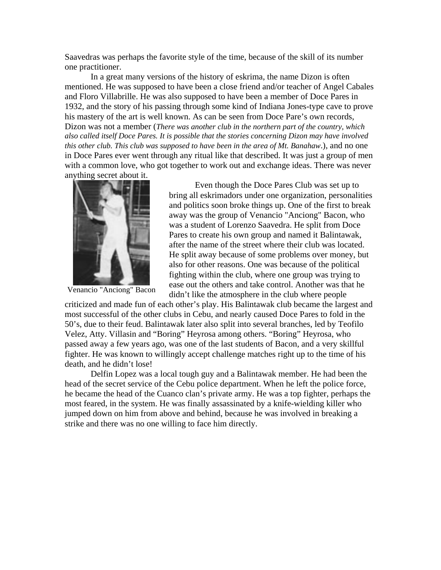Saavedras was perhaps the favorite style of the time, because of the skill of its number one practitioner.

In a great many versions of the history of eskrima, the name Dizon is often mentioned. He was supposed to have been a close friend and/or teacher of Angel Cabales and Floro Villabrille. He was also supposed to have been a member of Doce Pares in 1932, and the story of his passing through some kind of Indiana Jones-type cave to prove his mastery of the art is well known. As can be seen from Doce Pare's own records, Dizon was not a member (*There was another club in the northern part of the country, which also called itself Doce Pares. It is possible that the stories concerning Dizon may have involved this other club. This club was supposed to have been in the area of Mt. Banahaw*.), and no one in Doce Pares ever went through any ritual like that described. It was just a group of men with a common love, who got together to work out and exchange ideas. There was never anything secret about it.



Venancio "Anciong" Bacon

Even though the Doce Pares Club was set up to bring all eskrimadors under one organization, personalities and politics soon broke things up. One of the first to break away was the group of Venancio "Anciong" Bacon, who was a student of Lorenzo Saavedra. He split from Doce Pares to create his own group and named it Balintawak, after the name of the street where their club was located. He split away because of some problems over money, but also for other reasons. One was because of the political fighting within the club, where one group was trying to ease out the others and take control. Another was that he didn't like the atmosphere in the club where people

criticized and made fun of each other's play. His Balintawak club became the largest and most successful of the other clubs in Cebu, and nearly caused Doce Pares to fold in the 50's, due to their feud. Balintawak later also split into several branches, led by Teofilo Velez, Atty. Villasin and "Boring" Heyrosa among others. "Boring" Heyrosa, who passed away a few years ago, was one of the last students of Bacon, and a very skillful fighter. He was known to willingly accept challenge matches right up to the time of his death, and he didn't lose!

Delfin Lopez was a local tough guy and a Balintawak member. He had been the head of the secret service of the Cebu police department. When he left the police force, he became the head of the Cuanco clan's private army. He was a top fighter, perhaps the most feared, in the system. He was finally assassinated by a knife-wielding killer who jumped down on him from above and behind, because he was involved in breaking a strike and there was no one willing to face him directly.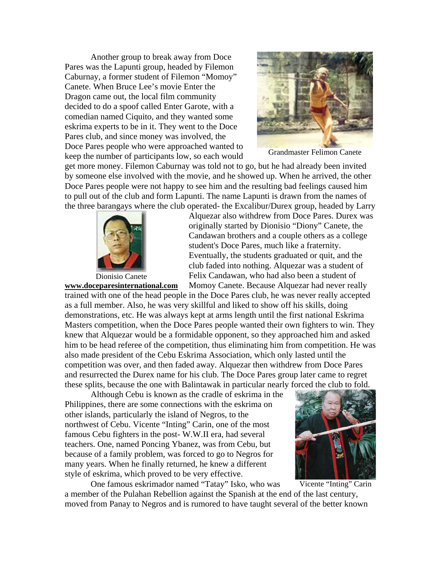Another group to break away from Doce Pares was the Lapunti group, headed by Filemon Caburnay, a former student of Filemon "Momoy" Canete. When Bruce Lee's movie Enter the Dragon came out, the local film community decided to do a spoof called Enter Garote, with a comedian named Ciquito, and they wanted some eskrima experts to be in it. They went to the Doce Pares club, and since money was involved, the Doce Pares people who were approached wanted to keep the number of participants low, so each would



Grandmaster Felimon Canete

get more money. Filemon Caburnay was told not to go, but he had already been invited by someone else involved with the movie, and he showed up. When he arrived, the other Doce Pares people were not happy to see him and the resulting bad feelings caused him to pull out of the club and form Lapunti. The name Lapunti is drawn from the names of the three barangays where the club operated- the Excalibur/Durex group, headed by Larry



Dionisio Canete

Alquezar also withdrew from Doce Pares. Durex was originally started by Dionisio "Diony" Canete, the Candawan brothers and a couple others as a college student's Doce Pares, much like a fraternity. Eventually, the students graduated or quit, and the club faded into nothing. Alquezar was a student of Felix Candawan, who had also been a student of Momoy Canete. Because Alquezar had never really

trained with one of the head people in the Doce Pares club, he was never really accepted as a full member. Also, he was very skillful and liked to show off his skills, doing demonstrations, etc. He was always kept at arms length until the first national Eskrima Masters competition, when the Doce Pares people wanted their own fighters to win. They knew that Alquezar would be a formidable opponent, so they approached him and asked him to be head referee of the competition, thus eliminating him from competition. He was also made president of the Cebu Eskrima Association, which only lasted until the competition was over, and then faded away. Alquezar then withdrew from Doce Pares and resurrected the Durex name for his club. The Doce Pares group later came to regret these splits, because the one with Balintawak in particular nearly forced the club to fold. **[www.doceparesinternational.com](http://www.doceparesinternational.com/)**

Although Cebu is known as the cradle of eskrima in the Philippines, there are some connections with the eskrima on other islands, particularly the island of Negros, to the northwest of Cebu. Vicente "Inting" Carin, one of the most famous Cebu fighters in the post- W.W.II era, had several teachers. One, named Poncing Ybanez, was from Cebu, but because of a family problem, was forced to go to Negros for many years. When he finally returned, he knew a different style of eskrima, which proved to be very effective.



One famous eskrimador named "Tatay" Isko, who was a member of the Pulahan Rebellion against the Spanish at the end of the last century, moved from Panay to Negros and is rumored to have taught several of the better known

Vicente "Inting" Carin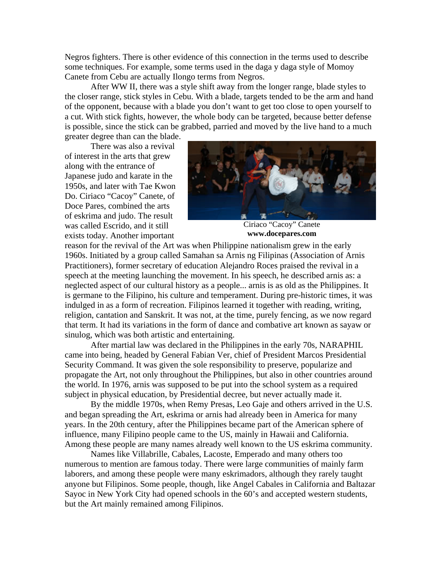Negros fighters. There is other evidence of this connection in the terms used to describe some techniques. For example, some terms used in the daga y daga style of Momoy Canete from Cebu are actually Ilongo terms from Negros.

After WW II, there was a style shift away from the longer range, blade styles to the closer range, stick styles in Cebu. With a blade, targets tended to be the arm and hand of the opponent, because with a blade you don't want to get too close to open yourself to a cut. With stick fights, however, the whole body can be targeted, because better defense is possible, since the stick can be grabbed, parried and moved by the live hand to a much

greater degree than can the blade.

There was also a revival of interest in the arts that grew along with the entrance of Japanese judo and karate in the 1950s, and later with Tae Kwon Do. Ciriaco "Cacoy" Canete, of Doce Pares, combined the arts of eskrima and judo. The result was called Escrido, and it still exists today. Another important



Ciriaco "Cacoy" Canete **[www.docepares.com](http://www.docepares.com/)**

reason for the revival of the Art was when Philippine nationalism grew in the early 1960s. Initiated by a group called Samahan sa Arnis ng Filipinas (Association of Arnis Practitioners), former secretary of education Alejandro Roces praised the revival in a speech at the meeting launching the movement. In his speech, he described arnis as: a neglected aspect of our cultural history as a people... arnis is as old as the Philippines. It is germane to the Filipino, his culture and temperament. During pre-historic times, it was indulged in as a form of recreation. Filipinos learned it together with reading, writing, religion, cantation and Sanskrit. It was not, at the time, purely fencing, as we now regard that term. It had its variations in the form of dance and combative art known as sayaw or sinulog, which was both artistic and entertaining.

After martial law was declared in the Philippines in the early 70s, NARAPHIL came into being, headed by General Fabian Ver, chief of President Marcos Presidential Security Command. It was given the sole responsibility to preserve, popularize and propagate the Art, not only throughout the Philippines, but also in other countries around the world. In 1976, arnis was supposed to be put into the school system as a required subject in physical education, by Presidential decree, but never actually made it.

By the middle 1970s, when Remy Presas, Leo Gaje and others arrived in the U.S. and began spreading the Art, eskrima or arnis had already been in America for many years. In the 20th century, after the Philippines became part of the American sphere of influence, many Filipino people came to the US, mainly in Hawaii and California. Among these people are many names already well known to the US eskrima community.

Names like Villabrille, Cabales, Lacoste, Emperado and many others too numerous to mention are famous today. There were large communities of mainly farm laborers, and among these people were many eskrimadors, although they rarely taught anyone but Filipinos. Some people, though, like Angel Cabales in California and Baltazar Sayoc in New York City had opened schools in the 60's and accepted western students, but the Art mainly remained among Filipinos.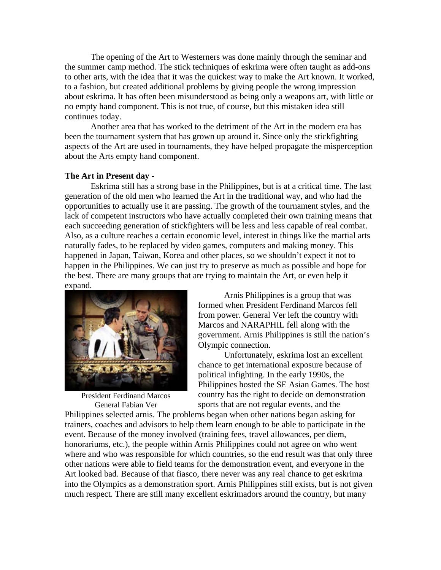The opening of the Art to Westerners was done mainly through the seminar and the summer camp method. The stick techniques of eskrima were often taught as add-ons to other arts, with the idea that it was the quickest way to make the Art known. It worked, to a fashion, but created additional problems by giving people the wrong impression about eskrima. It has often been misunderstood as being only a weapons art, with little or no empty hand component. This is not true, of course, but this mistaken idea still continues today.

Another area that has worked to the detriment of the Art in the modern era has been the tournament system that has grown up around it. Since only the stickfighting aspects of the Art are used in tournaments, they have helped propagate the misperception about the Arts empty hand component.

#### **The Art in Present day** -

Eskrima still has a strong base in the Philippines, but is at a critical time. The last generation of the old men who learned the Art in the traditional way, and who had the opportunities to actually use it are passing. The growth of the tournament styles, and the lack of competent instructors who have actually completed their own training means that each succeeding generation of stickfighters will be less and less capable of real combat. Also, as a culture reaches a certain economic level, interest in things like the martial arts naturally fades, to be replaced by video games, computers and making money. This happened in Japan, Taiwan, Korea and other places, so we shouldn't expect it not to happen in the Philippines. We can just try to preserve as much as possible and hope for the best. There are many groups that are trying to maintain the Art, or even help it expand.



President Ferdinand Marcos General Fabian Ver

Arnis Philippines is a group that was formed when President Ferdinand Marcos fell from power. General Ver left the country with Marcos and NARAPHIL fell along with the government. Arnis Philippines is still the nation's Olympic connection.

Unfortunately, eskrima lost an excellent chance to get international exposure because of political infighting. In the early 1990s, the Philippines hosted the SE Asian Games. The host country has the right to decide on demonstration sports that are not regular events, and the

Philippines selected arnis. The problems began when other nations began asking for trainers, coaches and advisors to help them learn enough to be able to participate in the event. Because of the money involved (training fees, travel allowances, per diem, honorariums, etc.), the people within Arnis Philippines could not agree on who went where and who was responsible for which countries, so the end result was that only three other nations were able to field teams for the demonstration event, and everyone in the Art looked bad. Because of that fiasco, there never was any real chance to get eskrima into the Olympics as a demonstration sport. Arnis Philippines still exists, but is not given much respect. There are still many excellent eskrimadors around the country, but many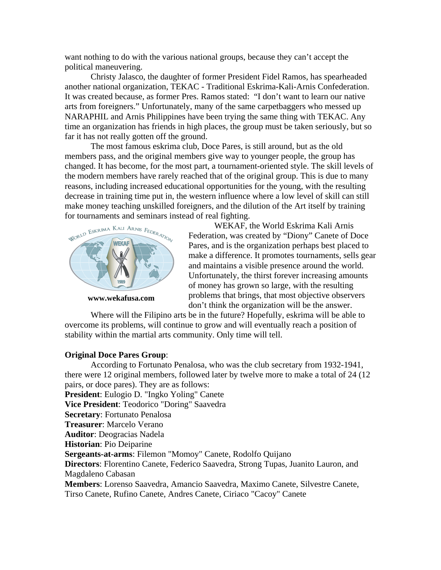want nothing to do with the various national groups, because they can't accept the political maneuvering.

Christy Jalasco, the daughter of former President Fidel Ramos, has spearheaded another national organization, TEKAC - Traditional Eskrima-Kali-Arnis Confederation. It was created because, as former Pres. Ramos stated: "I don't want to learn our native arts from foreigners." Unfortunately, many of the same carpetbaggers who messed up NARAPHIL and Arnis Philippines have been trying the same thing with TEKAC. Any time an organization has friends in high places, the group must be taken seriously, but so far it has not really gotten off the ground.

The most famous eskrima club, Doce Pares, is still around, but as the old members pass, and the original members give way to younger people, the group has changed. It has become, for the most part, a tournament-oriented style. The skill levels of the modern members have rarely reached that of the original group. This is due to many reasons, including increased educational opportunities for the young, with the resulting decrease in training time put in, the western influence where a low level of skill can still make money teaching unskilled foreigners, and the dilution of the Art itself by training for tournaments and seminars instead of real fighting.



**[www.wekafusa.com](http://www.wekafusa.com/)**

WEKAF, the World Eskrima Kali Arnis Federation, was created by "Diony" Canete of Doce Pares, and is the organization perhaps best placed to make a difference. It promotes tournaments, sells gear and maintains a visible presence around the world. Unfortunately, the thirst forever increasing amounts of money has grown so large, with the resulting problems that brings, that most objective observers don't think the organization will be the answer.

Where will the Filipino arts be in the future? Hopefully, eskrima will be able to overcome its problems, will continue to grow and will eventually reach a position of stability within the martial arts community. Only time will tell.

#### **Original Doce Pares Group**:

According to Fortunato Penalosa, who was the club secretary from 1932-1941, there were 12 original members, followed later by twelve more to make a total of 24 (12 pairs, or doce pares). They are as follows: **President**: Eulogio D. "Ingko Yoling" Canete **Vice President**: Teodorico "Doring" Saavedra **Secretary**: Fortunato Penalosa **Treasurer**: Marcelo Verano **Auditor**: Deogracias Nadela **Historian**: Pio Deiparine **Sergeants-at-arms**: Filemon "Momoy" Canete, Rodolfo Quijano **Directors**: Florentino Canete, Federico Saavedra, Strong Tupas, Juanito Lauron, and Magdaleno Cabasan **Members**: Lorenso Saavedra, Amancio Saavedra, Maximo Canete, Silvestre Canete, Tirso Canete, Rufino Canete, Andres Canete, Ciriaco "Cacoy" Canete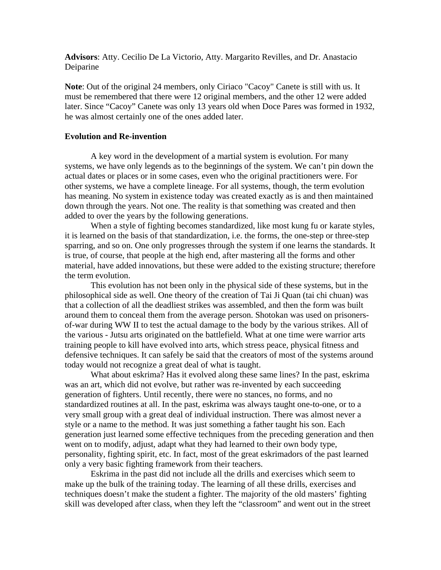**Advisors**: Atty. Cecilio De La Victorio, Atty. Margarito Revilles, and Dr. Anastacio Deiparine

**Note**: Out of the original 24 members, only Ciriaco "Cacoy" Canete is still with us. It must be remembered that there were 12 original members, and the other 12 were added later. Since "Cacoy" Canete was only 13 years old when Doce Pares was formed in 1932, he was almost certainly one of the ones added later.

#### **Evolution and Re-invention**

A key word in the development of a martial system is evolution. For many systems, we have only legends as to the beginnings of the system. We can't pin down the actual dates or places or in some cases, even who the original practitioners were. For other systems, we have a complete lineage. For all systems, though, the term evolution has meaning. No system in existence today was created exactly as is and then maintained down through the years. Not one. The reality is that something was created and then added to over the years by the following generations.

When a style of fighting becomes standardized, like most kung fu or karate styles, it is learned on the basis of that standardization, i.e. the forms, the one-step or three-step sparring, and so on. One only progresses through the system if one learns the standards. It is true, of course, that people at the high end, after mastering all the forms and other material, have added innovations, but these were added to the existing structure; therefore the term evolution.

This evolution has not been only in the physical side of these systems, but in the philosophical side as well. One theory of the creation of Tai Ji Quan (tai chi chuan) was that a collection of all the deadliest strikes was assembled, and then the form was built around them to conceal them from the average person. Shotokan was used on prisonersof-war during WW II to test the actual damage to the body by the various strikes. All of the various - Jutsu arts originated on the battlefield. What at one time were warrior arts training people to kill have evolved into arts, which stress peace, physical fitness and defensive techniques. It can safely be said that the creators of most of the systems around today would not recognize a great deal of what is taught.

What about eskrima? Has it evolved along these same lines? In the past, eskrima was an art, which did not evolve, but rather was re-invented by each succeeding generation of fighters. Until recently, there were no stances, no forms, and no standardized routines at all. In the past, eskrima was always taught one-to-one, or to a very small group with a great deal of individual instruction. There was almost never a style or a name to the method. It was just something a father taught his son. Each generation just learned some effective techniques from the preceding generation and then went on to modify, adjust, adapt what they had learned to their own body type, personality, fighting spirit, etc. In fact, most of the great eskrimadors of the past learned only a very basic fighting framework from their teachers.

Eskrima in the past did not include all the drills and exercises which seem to make up the bulk of the training today. The learning of all these drills, exercises and techniques doesn't make the student a fighter. The majority of the old masters' fighting skill was developed after class, when they left the "classroom" and went out in the street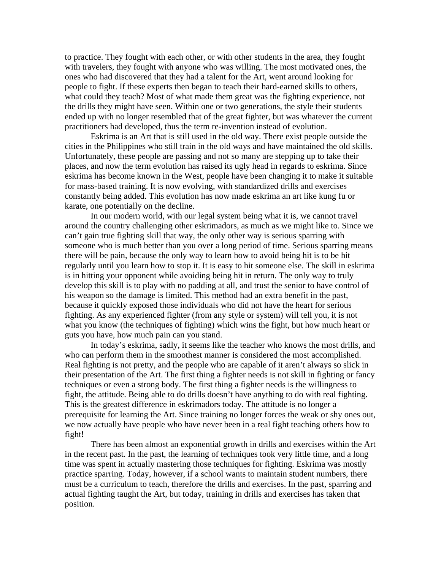to practice. They fought with each other, or with other students in the area, they fought with travelers, they fought with anyone who was willing. The most motivated ones, the ones who had discovered that they had a talent for the Art, went around looking for people to fight. If these experts then began to teach their hard-earned skills to others, what could they teach? Most of what made them great was the fighting experience, not the drills they might have seen. Within one or two generations, the style their students ended up with no longer resembled that of the great fighter, but was whatever the current practitioners had developed, thus the term re-invention instead of evolution.

Eskrima is an Art that is still used in the old way. There exist people outside the cities in the Philippines who still train in the old ways and have maintained the old skills. Unfortunately, these people are passing and not so many are stepping up to take their places, and now the term evolution has raised its ugly head in regards to eskrima. Since eskrima has become known in the West, people have been changing it to make it suitable for mass-based training. It is now evolving, with standardized drills and exercises constantly being added. This evolution has now made eskrima an art like kung fu or karate, one potentially on the decline.

In our modern world, with our legal system being what it is, we cannot travel around the country challenging other eskrimadors, as much as we might like to. Since we can't gain true fighting skill that way, the only other way is serious sparring with someone who is much better than you over a long period of time. Serious sparring means there will be pain, because the only way to learn how to avoid being hit is to be hit regularly until you learn how to stop it. It is easy to hit someone else. The skill in eskrima is in hitting your opponent while avoiding being hit in return. The only way to truly develop this skill is to play with no padding at all, and trust the senior to have control of his weapon so the damage is limited. This method had an extra benefit in the past, because it quickly exposed those individuals who did not have the heart for serious fighting. As any experienced fighter (from any style or system) will tell you, it is not what you know (the techniques of fighting) which wins the fight, but how much heart or guts you have, how much pain can you stand.

In today's eskrima, sadly, it seems like the teacher who knows the most drills, and who can perform them in the smoothest manner is considered the most accomplished. Real fighting is not pretty, and the people who are capable of it aren't always so slick in their presentation of the Art. The first thing a fighter needs is not skill in fighting or fancy techniques or even a strong body. The first thing a fighter needs is the willingness to fight, the attitude. Being able to do drills doesn't have anything to do with real fighting. This is the greatest difference in eskrimadors today. The attitude is no longer a prerequisite for learning the Art. Since training no longer forces the weak or shy ones out, we now actually have people who have never been in a real fight teaching others how to fight!

There has been almost an exponential growth in drills and exercises within the Art in the recent past. In the past, the learning of techniques took very little time, and a long time was spent in actually mastering those techniques for fighting. Eskrima was mostly practice sparring. Today, however, if a school wants to maintain student numbers, there must be a curriculum to teach, therefore the drills and exercises. In the past, sparring and actual fighting taught the Art, but today, training in drills and exercises has taken that position.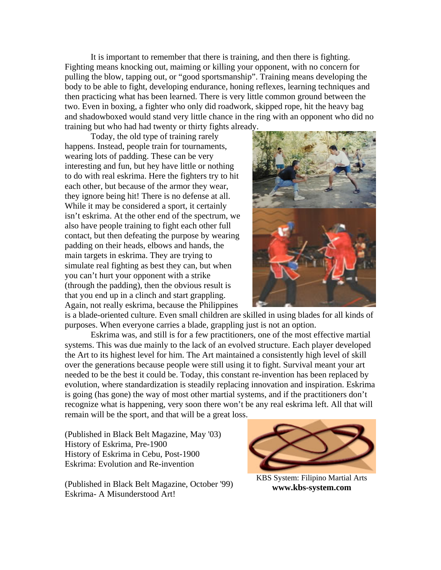It is important to remember that there is training, and then there is fighting. Fighting means knocking out, maiming or killing your opponent, with no concern for pulling the blow, tapping out, or "good sportsmanship". Training means developing the body to be able to fight, developing endurance, honing reflexes, learning techniques and then practicing what has been learned. There is very little common ground between the two. Even in boxing, a fighter who only did roadwork, skipped rope, hit the heavy bag and shadowboxed would stand very little chance in the ring with an opponent who did no training but who had had twenty or thirty fights already.

Today, the old type of training rarely happens. Instead, people train for tournaments, wearing lots of padding. These can be very interesting and fun, but hey have little or nothing to do with real eskrima. Here the fighters try to hit each other, but because of the armor they wear, they ignore being hit! There is no defense at all. While it may be considered a sport, it certainly isn't eskrima. At the other end of the spectrum, we also have people training to fight each other full contact, but then defeating the purpose by wearing padding on their heads, elbows and hands, the main targets in eskrima. They are trying to simulate real fighting as best they can, but when you can't hurt your opponent with a strike (through the padding), then the obvious result is that you end up in a clinch and start grappling. Again, not really eskrima, because the Philippines



is a blade-oriented culture. Even small children are skilled in using blades for all kinds of purposes. When everyone carries a blade, grappling just is not an option.

Eskrima was, and still is for a few practitioners, one of the most effective martial systems. This was due mainly to the lack of an evolved structure. Each player developed the Art to its highest level for him. The Art maintained a consistently high level of skill over the generations because people were still using it to fight. Survival meant your art needed to be the best it could be. Today, this constant re-invention has been replaced by evolution, where standardization is steadily replacing innovation and inspiration. Eskrima is going (has gone) the way of most other martial systems, and if the practitioners don't recognize what is happening, very soon there won't be any real eskrima left. All that will remain will be the sport, and that will be a great loss.

(Published in Black Belt Magazine, May '03) History of Eskrima, Pre-1900 History of Eskrima in Cebu, Post-1900 Eskrima: Evolution and Re-invention

(Published in Black Belt Magazine, October '99) Eskrima- A Misunderstood Art!



KBS System: Filipino Martial Arts **[www.kbs-system.com](http://www.kbs-system.com/)**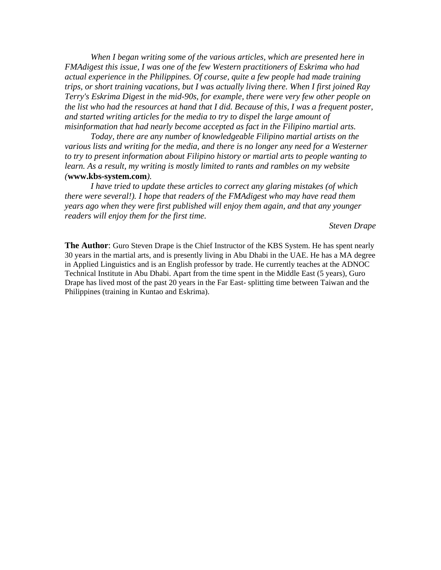*When I began writing some of the various articles, which are presented here in FMAdigest this issue, I was one of the few Western practitioners of Eskrima who had actual experience in the Philippines. Of course, quite a few people had made training trips, or short training vacations, but I was actually living there. When I first joined Ray Terry's Eskrima Digest in the mid-90s, for example, there were very few other people on the list who had the resources at hand that I did. Because of this, I was a frequent poster, and started writing articles for the media to try to dispel the large amount of misinformation that had nearly become accepted as fact in the Filipino martial arts.* 

 *Today, there are any number of knowledgeable Filipino martial artists on the various lists and writing for the media, and there is no longer any need for a Westerner to try to present information about Filipino history or martial arts to people wanting to*  learn. As a result, my writing is mostly limited to rants and rambles on my website *(***[www.kbs-system.com](http://www.kbs-system.com/)***).* 

 *I have tried to update these articles to correct any glaring mistakes (of which there were several!). I hope that readers of the FMAdigest who may have read them years ago when they were first published will enjoy them again, and that any younger readers will enjoy them for the first time.* 

*Steven Drape*

**The Author**: Guro Steven Drape is the Chief Instructor of the KBS System. He has spent nearly 30 years in the martial arts, and is presently living in Abu Dhabi in the UAE. He has a MA degree in Applied Linguistics and is an English professor by trade. He currently teaches at the ADNOC Technical Institute in Abu Dhabi. Apart from the time spent in the Middle East (5 years), Guro Drape has lived most of the past 20 years in the Far East- splitting time between Taiwan and the Philippines (training in Kuntao and Eskrima).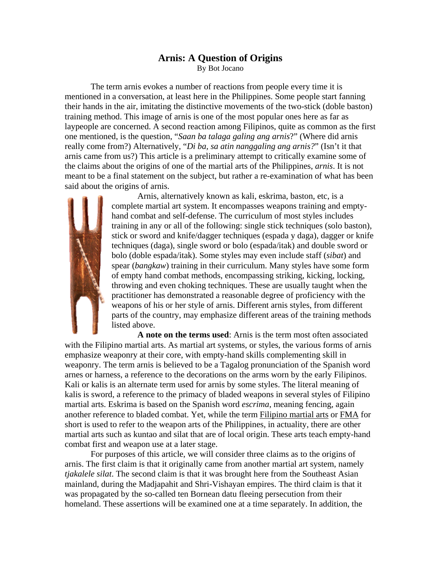# **Arnis: A Question of Origins**

By Bot Jocano

<span id="page-32-0"></span>The term arnis evokes a number of reactions from people every time it is mentioned in a conversation, at least here in the Philippines. Some people start fanning their hands in the air, imitating the distinctive movements of the two-stick (doble baston) training method. This image of arnis is one of the most popular ones here as far as laypeople are concerned. A second reaction among Filipinos, quite as common as the first one mentioned, is the question, "*Saan ba talaga galing ang arnis*?" (Where did arnis really come from?) Alternatively, "*Di ba, sa atin nanggaling ang arnis?*" (Isn't it that arnis came from us?) This article is a preliminary attempt to critically examine some of the claims about the origins of one of the martial arts of the Philippines, *arnis*. It is not meant to be a final statement on the subject, but rather a re-examination of what has been said about the origins of arnis.



Arnis, alternatively known as kali, eskrima, baston, etc, is a complete martial art system. It encompasses weapons training and emptyhand combat and self-defense. The curriculum of most styles includes training in any or all of the following: single stick techniques (solo baston), stick or sword and knife/dagger techniques (espada y daga), dagger or knife techniques (daga), single sword or bolo (espada/itak) and double sword or bolo (doble espada/itak). Some styles may even include staff (*sibat*) and spear (*bangkaw*) training in their curriculum. Many styles have some form of empty hand combat methods, encompassing striking, kicking, locking, throwing and even choking techniques. These are usually taught when the practitioner has demonstrated a reasonable degree of proficiency with the weapons of his or her style of arnis. Different arnis styles, from different parts of the country, may emphasize different areas of the training methods listed above.

**A note on the terms used**: Arnis is the term most often associated with the Filipino martial arts. As martial art systems, or styles, the various forms of arnis emphasize weaponry at their core, with empty-hand skills complementing skill in weaponry. The term arnis is believed to be a Tagalog pronunciation of the Spanish word arnes or harness, a reference to the decorations on the arms worn by the early Filipinos. Kali or kalis is an alternate term used for arnis by some styles. The literal meaning of kalis is sword, a reference to the primacy of bladed weapons in several styles of Filipino martial arts. Eskrima is based on the Spanish word *escrima*, meaning fencing, again another reference to bladed combat. Yet, while the term Filipino martial arts or FMA for short is used to refer to the weapon arts of the Philippines, in actuality, there are other martial arts such as kuntao and silat that are of local origin. These arts teach empty-hand combat first and weapon use at a later stage.

For purposes of this article, we will consider three claims as to the origins of arnis. The first claim is that it originally came from another martial art system, namely *tjakalele silat*. The second claim is that it was brought here from the Southeast Asian mainland, during the Madjapahit and Shri-Vishayan empires. The third claim is that it was propagated by the so-called ten Bornean datu fleeing persecution from their homeland. These assertions will be examined one at a time separately. In addition, the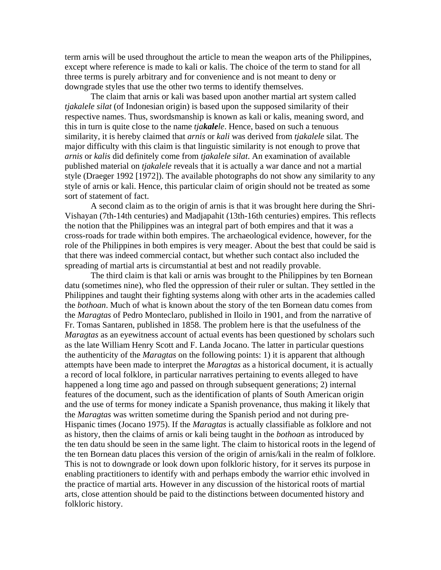term arnis will be used throughout the article to mean the weapon arts of the Philippines, except where reference is made to kali or kalis. The choice of the term to stand for all three terms is purely arbitrary and for convenience and is not meant to deny or downgrade styles that use the other two terms to identify themselves.

The claim that arnis or kali was based upon another martial art system called *tjakalele silat* (of Indonesian origin) is based upon the supposed similarity of their respective names. Thus, swordsmanship is known as kali or kalis, meaning sword, and this in turn is quite close to the name *tjakalele*. Hence, based on such a tenuous similarity, it is hereby claimed that *arnis* or *kali* was derived from *tjakalele* silat. The major difficulty with this claim is that linguistic similarity is not enough to prove that *arnis* or *kalis* did definitely come from *tjakalele silat*. An examination of available published material on *tjakalele* reveals that it is actually a war dance and not a martial style (Draeger 1992 [1972]). The available photographs do not show any similarity to any style of arnis or kali. Hence, this particular claim of origin should not be treated as some sort of statement of fact.

A second claim as to the origin of arnis is that it was brought here during the Shri-Vishayan (7th-14th centuries) and Madjapahit (13th-16th centuries) empires. This reflects the notion that the Philippines was an integral part of both empires and that it was a cross-roads for trade within both empires. The archaeological evidence, however, for the role of the Philippines in both empires is very meager. About the best that could be said is that there was indeed commercial contact, but whether such contact also included the spreading of martial arts is circumstantial at best and not readily provable.

The third claim is that kali or arnis was brought to the Philippines by ten Bornean datu (sometimes nine), who fled the oppression of their ruler or sultan. They settled in the Philippines and taught their fighting systems along with other arts in the academies called the *bothoan*. Much of what is known about the story of the ten Bornean datu comes from the *Maragtas* of Pedro Monteclaro, published in Iloilo in 1901, and from the narrative of Fr. Tomas Santaren, published in 1858. The problem here is that the usefulness of the *Maragtas* as an eyewitness account of actual events has been questioned by scholars such as the late William Henry Scott and F. Landa Jocano. The latter in particular questions the authenticity of the *Maragtas* on the following points: 1) it is apparent that although attempts have been made to interpret the *Maragtas* as a historical document, it is actually a record of local folklore, in particular narratives pertaining to events alleged to have happened a long time ago and passed on through subsequent generations; 2) internal features of the document, such as the identification of plants of South American origin and the use of terms for money indicate a Spanish provenance, thus making it likely that the *Maragtas* was written sometime during the Spanish period and not during pre-Hispanic times (Jocano 1975). If the *Maragtas* is actually classifiable as folklore and not as history, then the claims of arnis or kali being taught in the *bothoan* as introduced by the ten datu should be seen in the same light. The claim to historical roots in the legend of the ten Bornean datu places this version of the origin of arnis/kali in the realm of folklore. This is not to downgrade or look down upon folkloric history, for it serves its purpose in enabling practitioners to identify with and perhaps embody the warrior ethic involved in the practice of martial arts. However in any discussion of the historical roots of martial arts, close attention should be paid to the distinctions between documented history and folkloric history.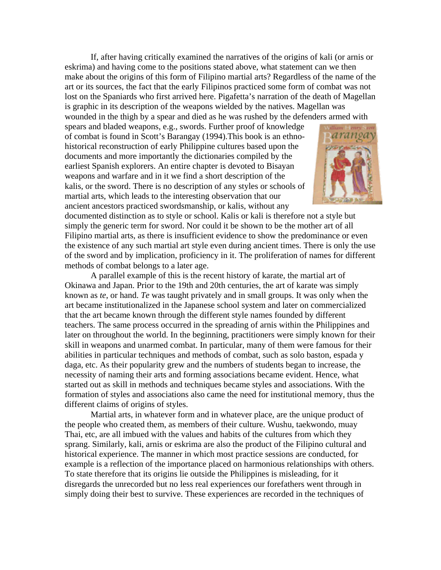If, after having critically examined the narratives of the origins of kali (or arnis or eskrima) and having come to the positions stated above, what statement can we then make about the origins of this form of Filipino martial arts? Regardless of the name of the art or its sources, the fact that the early Filipinos practiced some form of combat was not lost on the Spaniards who first arrived here. Pigafetta's narration of the death of Magellan is graphic in its description of the weapons wielded by the natives. Magellan was wounded in the thigh by a spear and died as he was rushed by the defenders armed with

spears and bladed weapons, e.g., swords. Further proof of knowledge of combat is found in Scott's Barangay (1994).This book is an e thnohistorical reconstruction of early Philippine cultures based upon th e documents and more importantly the dictionaries compiled by the earliest Spanish explorers. An entire chapter is devoted to Bisayan weapons and warfare and in it we find a short description of the kalis, or the sword. There is no description of any styles or scho ols of martial arts, which leads to the interesting observation that our ancient ancestors practiced swordsmanship, or kalis, without any



documented distinction as to style or school. Kalis or kali is therefore not a style but simply the generic term for sword. Nor could it be shown to be the mother art of all Filipino martial arts, as there is insufficient evidence to show the predominance or even the existence of any such martial art style even during ancient times. There is only the use of the sword and by implication, proficiency in it. The proliferation of names for different methods of combat belongs to a later age.

A parallel example of this is the recent history of karate, the martial art of Okinawa and Japan. Prior to the 19th and 20th centuries, the art of karate was simply known as *te*, or hand. *Te* was taught privately and in small groups. It was only when the art became institutionalized in the Japanese school system and later on commercialized that the art became known through the different style names founded by different teachers. The same process occurred in the spreading of arnis within the Philippines and later on throughout the world. In the beginning, practitioners were simply known for their skill in weapons and unarmed combat. In particular, many of them were famous for their abilities in particular techniques and methods of combat, such as solo baston, espada y daga, etc. As their popularity grew and the numbers of students began to increase, the necessity of naming their arts and forming associations became evident. Hence, what started out as skill in methods and techniques became styles and associations. With the formation of styles and associations also came the need for institutional memory, thus the different claims of origins of styles.

Martial arts, in whatever form and in whatever place, are the unique product of the people who created them, as members of their culture. Wushu, taekwondo, muay Thai, etc, are all imbued with the values and habits of the cultures from which they sprang. Similarly, kali, arnis or eskrima are also the product of the Filipino cultural and historical experience. The manner in which most practice sessions are conducted, for example is a reflection of the importance placed on harmonious relationships with others. To state therefore that its origins lie outside the Philippines is misleading, for it disregards the unrecorded but no less real experiences our forefathers went through in simply doing their best to survive. These experiences are recorded in the techniques of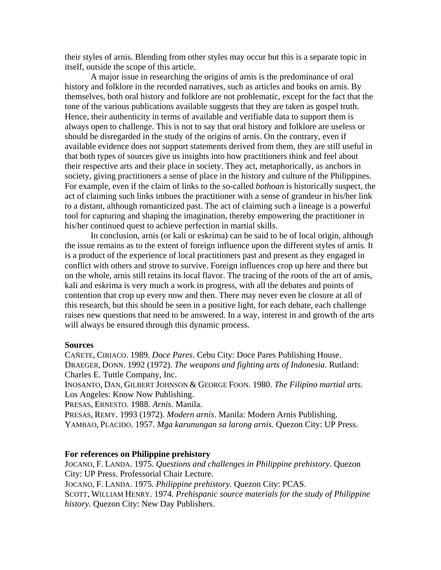their styles of arnis. Blending from other styles may occur but this is a separate topic in itself, outside the scope of this article.

A major issue in researching the origins of arnis is the predominance of oral history and folklore in the recorded narratives, such as articles and books on arnis. By themselves, both oral history and folklore are not problematic, except for the fact that the tone of the various publications available suggests that they are taken as gospel truth. Hence, their authenticity in terms of available and verifiable data to support them is always open to challenge. This is not to say that oral history and folklore are useless or should be disregarded in the study of the origins of arnis. On the contrary, even if available evidence does not support statements derived from them, they are still useful in that both types of sources give us insights into how practitioners think and feel about their respective arts and their place in society. They act, metaphorically, as anchors in society, giving practitioners a sense of place in the history and culture of the Philippines. For example, even if the claim of links to the so-called *bothoan* is historically suspect, the act of claiming such links imbues the practitioner with a sense of grandeur in his/her link to a distant, although romanticized past. The act of claiming such a lineage is a powerful tool for capturing and shaping the imagination, thereby empowering the practitioner in his/her continued quest to achieve perfection in martial skills.

In conclusion, arnis (or kali or eskrima) can be said to be of local origin, although the issue remains as to the extent of foreign influence upon the different styles of arnis*.* It is a product of the experience of local practitioners past and present as they engaged in conflict with others and strove to survive. Foreign influences crop up here and there but on the whole, arnis still retains its local flavor. The tracing of the roots of the art of arnis, kali and eskrima is very much a work in progress, with all the debates and points of contention that crop up every now and then. There may never even be closure at all of this research, but this should be seen in a positive light, for each debate, each challenge raises new questions that need to be answered. In a way, interest in and growth of the arts will always be ensured through this dynamic process.

#### **Sources**

CAÑETE, CIRIACO. 1989. *Doce Pares*. Cebu City: Doce Pares Publishing House. DRAEGER, DONN. 1992 (1972). *The weapons and fighting arts of Indonesia*. Rutland: Charles E. Tuttle Company, Inc.

INOSANTO, DAN, GILBERT JOHNSON & GEORGE FOON. 1980. *The Filipino martial arts*. Los Angeles: Know Now Publishing.

PRESAS, ERNESTO. 1988. *Arnis*. Manila.

PRESAS, REMY. 1993 (1972). *Modern arnis*. Manila: Modern Arnis Publishing. YAMBAO, PLACIDO. 1957. *Mga karunungan sa larong arnis.* Quezon City: UP Press.

#### **For references on Philippine prehistory**

JOCANO, F. LANDA. 1975. *Questions and challenges in Philippine prehistory*. Quezon City: UP Press. Professorial Chair Lecture. JOCANO, F. LANDA. 1975. *Philippine prehistory*. Quezon City: PCAS. SCOTT, WILLIAM HENRY. 1974. *Prehispanic source materials for the study of Philippine history.* Quezon City: New Day Publishers.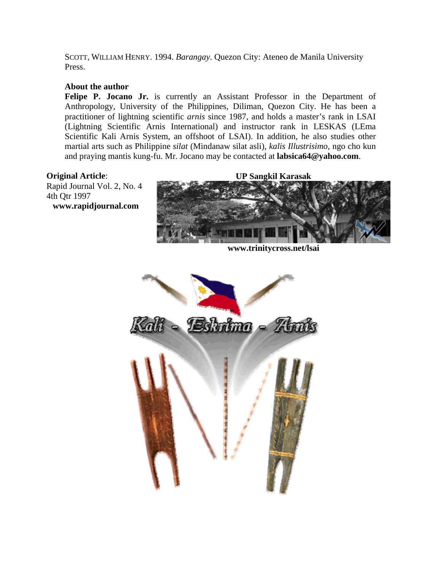SCOTT, WILLIAM HENRY. 1994. *Barangay*. Quezon City: Ateneo de Manila University Press.

### **About the author**

Felipe P. Jocano Jr. is currently an Assistant Professor in the Department of Anthropology, University of the Philippines, Diliman, Quezon City. He has been a practitioner of lightning scientific *arnis* since 1987, and holds a master's rank in LSAI (Lightning Scientific Arnis International) and instructor rank in LESKAS (LEma Scientific Kali Arnis System, an offshoot of LSAI). In addition, he also studies other martial arts such as Philippine *silat* (Mindanaw silat asli), *kalis Illustrisimo*, ngo cho kun and praying mantis kung-fu. Mr. Jocano may be contacted at **[labsica64@yahoo.com](mailto:labsica64@yahoo.com)**.

### **Original Article**:

Rapid Journal Vol. 2, No. 4 4th Qtr 1997 **[www.rapidjournal.com](http://www.rapidjournal.com/)**



**[www.trinitycross.net/lsai](http://www.trinitycross.net/lsai/)**